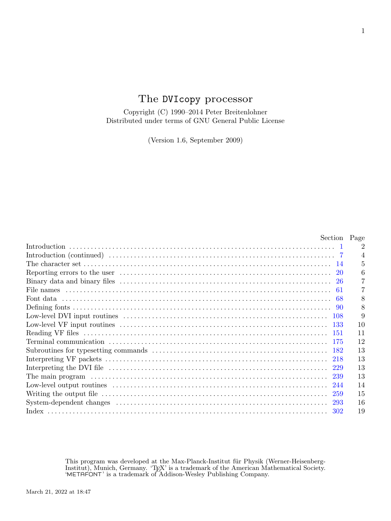# The DVIcopy processor

Copyright (C) 1990–2014 Peter Breitenlohner Distributed under terms of GNU General Public License

(Version 1.6, September 2009)

| Section Page                                                                                                                                                               |                             |
|----------------------------------------------------------------------------------------------------------------------------------------------------------------------------|-----------------------------|
|                                                                                                                                                                            | $\mathcal{D}_{\mathcal{L}}$ |
|                                                                                                                                                                            |                             |
| The character set $\ldots$ $\ldots$ $\ldots$ $\ldots$ $\ldots$ $\ldots$ $\ldots$ $\ldots$ $\ldots$ $\ldots$ $\ldots$ $\ldots$ $\ldots$ $\ldots$ $\ldots$ $\ldots$ $\ldots$ | 5                           |
|                                                                                                                                                                            |                             |
|                                                                                                                                                                            |                             |
|                                                                                                                                                                            |                             |
|                                                                                                                                                                            | 8                           |
|                                                                                                                                                                            | 8                           |
|                                                                                                                                                                            | 9                           |
|                                                                                                                                                                            | 10                          |
|                                                                                                                                                                            | 11                          |
|                                                                                                                                                                            | 12                          |
|                                                                                                                                                                            | 13                          |
|                                                                                                                                                                            | 13                          |
|                                                                                                                                                                            | 13                          |
| The main program (1) (239) (239)                                                                                                                                           | 13                          |
|                                                                                                                                                                            | 14                          |
|                                                                                                                                                                            | 15                          |
|                                                                                                                                                                            | 16                          |
| 302                                                                                                                                                                        | 19                          |

This program was developed at the Max-Planck-Institut für Physik (Werner-Heisenberg-Institut), Munich, Germany. 'TEX' is a trademark of the American Mathematical Society.<br>'METAFONT' is a trademark of Addison-Wesley Publishing Company.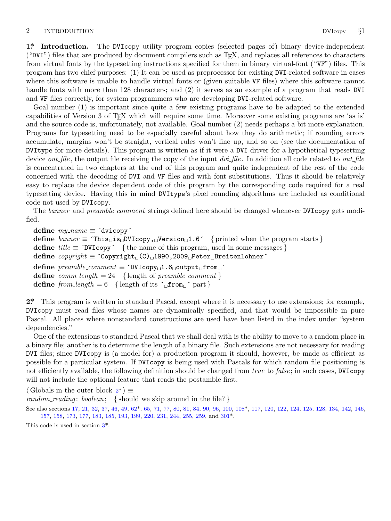### <span id="page-1-0"></span>2 INTRODUCTION DVIcopy *§*1

**1\*. Introduction.** The DVIcopy utility program copies (selected pages of) binary device-independent ("DVI") files that are produced by document compilers such as TEX, and replaces all references to characters from virtual fonts by the typesetting instructions specified for them in binary virtual-font ("VF") files. This program has two chief purposes: (1) It can be used as preprocessor for existing DVI-related software in cases where this software is unable to handle virtual fonts or (given suitable VF files) where this software cannot handle fonts with more than 128 characters; and (2) it serves as an example of a program that reads DVI and VF files correctly, for system programmers who are developing DVI-related software.

Goal number (1) is important since quite a few existing programs have to be adapted to the extended capabilities of Version 3 of TEX which will require some time. Moreover some existing programs are 'as is' and the source code is, unfortunately, not available. Goal number (2) needs perhaps a bit more explanation. Programs for typesetting need to be especially careful about how they do arithmetic; if rounding errors accumulate, margins won't be straight, vertical rules won't line up, and so on (see the documentation of DVItype for more details). This program is written as if it were a DVI-driver for a hypothetical typesetting device *out file* , the output file receiving the copy of the input *dvi file* . In addition all code related to *out file* is concentrated in two chapters at the end of this program and quite independent of the rest of the code concerned with the decoding of DVI and VF files and with font substitutions. Thus it should be relatively easy to replace the device dependent code of this program by the corresponding code required for a real typesetting device. Having this in mind DVItype's pixel rounding algorithms are included as conditional code not used by DVIcopy.

The *banner* and *preamble comment* strings defined here should be changed whenever DVIcopy gets modified.

 $define \, my_name \equiv 'divicopy'$ **define** *banner ≡* ´This␣is␣DVIcopy,␣Version␣1.6´ *{* printed when the program starts *}* **define** *title ≡* ´DVIcopy´ *{* the name of this program, used in some messages *}* **define** *copyright ≡* ´Copyright␣(C)␣1990,2009␣Peter␣Breitenlohner´ **define** *preamble comment ≡* ´DVIcopy␣1.6␣output␣from␣´ **define**  $comm\_length = 24$  {length of  $preamble\_comment$ } **define**  $from$  *length* = 6 {length of its  $\left\{ \right.$   $\left\{ \right.$   $\left\{ \right. \right\}$   $\left\{ \right. \right\}$ 

**2\*.** This program is written in standard Pascal, except where it is necessary to use extensions; for example, DVIcopy must read files whose names are dynamically specified, and that would be impossible in pure Pascal. All places where nonstandard constructions are used have been listed in the index under "system dependencies."

One of the extensions to standard Pascal that we shall deal with is the ability to move to a random place in a binary file; another is to determine the length of a binary file. Such extensions are not necessary for reading DVI files; since DVIcopy is (a mo[de](#page-6-0)l for) a production program it [sho](#page-8-0)uld, however, be made as efficient as possible for a particular system. If DVIcopy is being used wit[h P](#page-17-0)ascals for which random file positioning is not efficiently available, [th](#page-2-0)e following definition should be changed from *true* to *false* ; in such cases, DVIcopy will not include the optional feature that reads the postamble first.

*⟨* Globals in the outer block 2\* *⟩ ≡*

*random reading* : *boolean*; *{* should we skip around in the file? *}*

See also sections 17, 21, 32, 37, 46, 49, 62\*, 65, 71, 77, 80, 81, 84, 90, 96, 100, 108\*, 117, 120, 122, 124, 125, 128, 134, 142, 146, 157, 158, 173, 177, 183, 185, 193, 199, 220, 231, 244, 255, 259, and 301\*.

This code is used in section 3\*.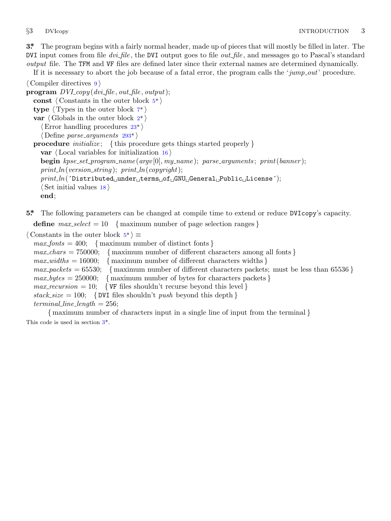<span id="page-2-0"></span>

**3\*.** The program begins with a fairly normal header, made up of pieces that will mostly be filled in later. The DVI input comes from file *dvi file* , [th](#page-3-0)e DVI output goes to file *out file* , and messages go to Pascal's standard *output* file. The TFM and VF files a[re](#page-1-0) defined later since their external names are determined dynamically.

If it is necessary to abort the j[ob](#page-5-0) because of a fatal error, the program calls the '*jump out*' procedure.

```
⟨ Compiler directives 9 ⟩
```

```
program DVI<sub>-copy</sub>(dvi<sub>-file</sub>, out-file, output);
  const ⟨ Constants in the outer block 5* ⟩
  type ⟨ Types in the outer block 7* ⟩
  var ⟨ Globals in the outer block 2* ⟩
     ⟨Error handling procedures 23* ⟩
     ⟨ Define parse arguments 293* ⟩
  procedure initialize ; { this procedure gets things started properly }
    var ⟨ Local variables for initialization 16 ⟩
    begin kpse set program name (argv [0], my name ); parse arguments ; print(banner );
    print ln(version string ); print ln(copyright);
    print ln(´Distributed␣under␣terms␣of␣GNU␣General␣Public␣License´);
    ⟨ Set initial values 18 ⟩
    end;
```
**5\*.** The following parameters can be changed at compile time to extend or reduce DVIcopy's capacity.

**define**  $max\_select = 10$  { maximum number of page selection ranges }

```
⟨ Constants in the outer block 5* ⟩ ≡
```
 $max\_fonts = 400;$  { maximum number of distinct fonts }  $max_{c}$  *chars* = 750000; { maximum number of different characters among all fonts }  $max\_widths = 16000;$  { maximum number of different characters widths }  $max\_packets = 65530;$  { maximum number of different characters packets; must be less than 65536 }  $max_b y \, \text{tes} = 250000;$  { maximum number of bytes for characters packets }  $max\_recursion = 10;$  { VF files shouldn't recurse beyond this level }  $stack_size = 100;$  {DVI files shouldn't *push* beyond this depth }  $terminal\_line\_length = 256$ ; *{* maximum number of characters input in a single line of input from the terminal *}*

This code is used in section 3\*.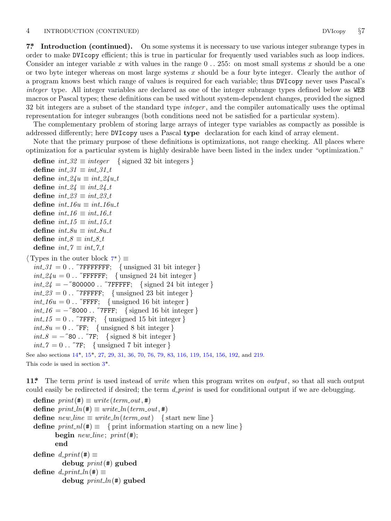### <span id="page-3-0"></span>4 INTRODUCTION (CONTINUED) DVIcopy *§*7

**7\*. Introduction (continued).** On some systems it is necessary to use various integer subrange types in order to make DVIcopy efficient; this is true in particular for frequently used variables such as loop indices. Consider an integer variable *x* with values in the range 0 *. .* 255: on most small systems *x* should be a one or two byte integer whereas on most large systems *x* should be a four byte integer. Clearly the author of a program knows best which range of values is required for each variable; thus DVIcopy never uses Pascal's *integer* type. All integer variables are declared as one of the integer subrange types defined below as WEB macros or Pascal types; these definitions can be used without system-dependent changes, provided the signed 32 bit integers are a subset of the standard type *integer* , and the compiler automatically uses the optimal representation for integer subranges (both conditions need not be satisfied for a particular system).

The complementary problem of storing large arrays of integer type variables as compactly as possible is addressed differently; here DVIcopy uses a Pascal **type** declaration for each kind of array element.

Note that the primary purpose of these definitions is optimizations, not range checking. All places where optimization for a particular system is highly desirable have been listed in the index under "optimization."

**define**  $int_0^{\infty} 32 \equiv integer$  {signed 32 bit integers } **define**  $int_{.}31 \equiv int_{.}31_{.}t$ **define**  $int_{-2}^{2}u \equiv int_{-}^{2}2}u_{-}^{2}t$ **define**  $int_0^1 24 \equiv int_0^1 24 \pmod{t}$  $\text{define } int\_23 \equiv int\_23\_t$  $\text{define } int\_16u \equiv int\_16u\_t$ **define**  $int_0^{\infty} 16 \equiv int_0^{\infty} 16 \cdot t$  $\text{define } int \_15 \equiv int \_15 \_t$  $\text{define } int\_Su \equiv int\_Su\_t$ **define**  $int_{0}^{x} \equiv int_{0}^{x} 8 \pm 1$ **define**  $int_{\mathcal{I}} 7 \equiv int_{\mathcal{I}} 7 \pm i$ *⟨* Types in the outer block 7\* *⟩ ≡*  $int_0^1 31 = 0$ ... <sup>"</sup>7FFFFFFF; { unsigned 31 bit integer}  $int_24u = 0$ . *T*FFFFF; { unsigned 24 bit integer } *int 24* = *−*˝800000 *. .* ˝7FFFFF; *{* signed 24 bit integer *}*  $int_2 3 = 0$ .  $\sqrt{7}$ FFFFF; { unsigned 23 bit integer }  $int_1 16u = 0$ . *T*[FFF](#page-4-0); { unsigned 16 bit integer } *int 16* = *−*˝8000 *. .* ˝[7F](#page-2-0)FF; *{* signed 16 bit integer *}*  $int_1 5 = 0$ .  $\text{``7FFF};$  {unsigned 15 bit integer }  $int_{\mathcal{A}} 8u = 0$ . *T*FF; {unsigned 8 bit integer}  $int_{\mathcal{S}} 8 = -780$ .  $\ldots$   $7F$ ; { signed 8 bit integer }  $int_0^{\infty} 7 = 0$ .  $\ldots$   $7F$ ; { unsigned 7 bit integer } See also sections 14\*, 15\*, 27, 29, 31, 36, 70, 76, 79, 83, 116, 119, 154, 156, 192, and 219.

This code is used in section 3\*.

**11\*.** The term *print* is used instead of *write* when this program writes on *output*, so that all such output could easily be redirected if desired; the term *d print* is used for conditional output if we are debugging.

 $\text{define } print(\texttt{\#}) \equiv write(term\_out, \texttt{\#})$  $\text{define } print\_ln(\texttt{\#}) \equiv write\_ln(term\_out, \texttt{\#})$  $\text{define } new\_line \equiv write\_ln(term\_out) \quad \text{{start new line}}$ **define**  $print\_nl(\#) \equiv \{$  print information starting on a new line  $\}$ **begin** *new line* ; *print*(#); **end**  $\text{define } d\_print(\texttt{\#}) \equiv$ **debug** *print*(#) **gubed**  $\text{define } d\text{-}print\_ln(\texttt{#}) \equiv$ **debug** *print ln*(#) **gubed**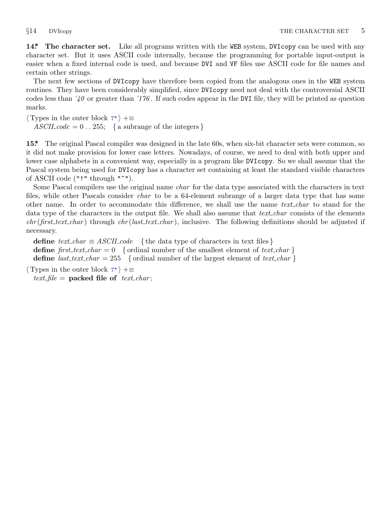<span id="page-4-0"></span>**14\*. The character set.** Like all programs written with the WEB system, DVIcopy can be used with any character set. But it uses ASCII code internally, because the programming for portable input-output is easier when a fixed intern[al](#page-3-0) code is used, and because DVI and VF files use ASCII code for file names and certain other strings.

The next few sections of DVIcopy have therefore been copied from the analogous ones in the WEB system routines. They have been considerably simplified, since DVIcopy need not deal with the controversial ASCII codes less than ´*40* or greater than ´*176* . If such codes appear in the DVI file, they will be printed as question marks.

*⟨* Types in the outer block 7\* *⟩* +*≡*  $ASCII\_code = 0$ . 255; { a subrange of the integers }

**15\*.** The original Pascal compiler was designed in the late 60s, when six-bit character sets were common, so it did not make provision for lower case letters. Nowadays, of course, we need to deal with both upper and lower case alphabets in a convenient way, especially in a program like DVIcopy. So we shall assume that the Pascal system being used for DVIcopy has a character set containing at least the standard visible characters of ASCII code ("!" through "~").

Some Pascal compilers use the original name *char* for the data type associated with the characters in text files, while other Pascals consider *char* to be a 64-element subrange of a larger data type that has some other name. In order to accommodate this difference, we shall use the name *text char* to stand for the data type of the characters in the output file. We shall also assume that *text char* consists of the elements *chr* (*first text char* ) throug[h](#page-3-0) *chr* (*last text char* ), inclusive. The following definitions should be adjusted if necessary.

**define**  $text\_text\_char \equiv ASCII\_code$  { the data type of characters in text files } **define**  $first\_text\_char = 0$  { ordinal number of the smallest element of  $text\_char$ } **define** *last\_text\_char* = 255 { ordinal number of the largest element of *text\_char* }

*⟨* Types in the outer block 7\* *⟩* +*≡*  $text$  *file* = **packed file of**  $text$  *text char*;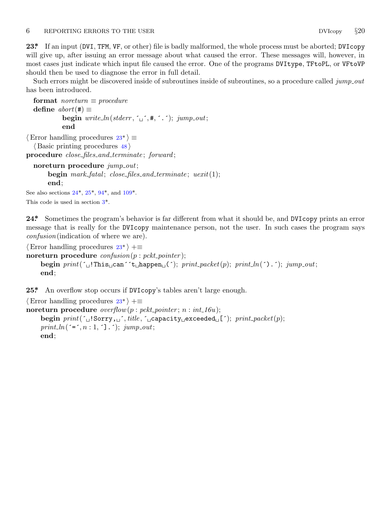### <span id="page-5-0"></span>6 REPORTING ERRORS TO THE USER DVIcopy *§*20

**23\*.** If an input (DVI, TFM, VF, or other) file is badly malformed, the whole process must be aborted; DVIcopy will give up, after issuing an error message about what caused the error. These messages will, however, in most cases just indicate which input file caused the error. One of the programs DVItype, TFtoPL, or VFtoVP should then be used to diagnose the error in full detail.

Such errors might be discovered inside of subroutines inside of subroutines, so a procedure called *jump out* has been introduced.

**format**  $$ **define**  $abort$  (#)  $\equiv$ **begin**  $write\_ln(staterr, \lceil \cdot \rfloor, \mathbf{#}, \lceil \cdot \cdot \rceil)$ ;  $jump\_out;$ **end**

*⟨*Error handling proce[dur](#page-7-0)es 23\* *[⟩ ≡](#page-8-0) ⟨* Basic printing proce[du](#page-2-0)res 48 *⟩*

**procedure** *close files and terminate* ; *forward* ;

**noreturn procedure** *jump out*; **begin** *mark fatal* ; *close files and terminate* ; *uexit*(1); **end**;

See also sections  $24^*$ ,  $25^*$ ,  $94^*$ , and  $109^*$ .

This code is used in section 3\*.

**24\*.** Sometimes the program's behavior is far different from what it should be, and DVIcopy prints an error message that is really for the DVIcopy maintenance person, not the user. In such cases the program says *confusion*(indication of where we are).

*⟨*Error handling procedures 23\* *⟩* +*≡* **noreturn procedure** *confusion*(*p* : *pckt pointer* ); **begin**  $print(' \text{u}! \text{This} \text{u} \text{can}^{\text{u}} \text{`t} \text{th} \text{append} \text{u}^{\text{c}}); print\_packet(p); print\_ln(') \text{.'}; jump\_out;$ **end**;

**25\*.** An overflow stop occurs if DVIcopy's tables aren't large enough.

```
⟨Error handling procedures 23* ⟩ +≡
noreturn procedure overflow(p : pckt pointer ; n : int 16u);
    begin print(´␣!Sorry,␣´, title , ´␣capacity␣exceeded␣[´); print packet(p);
    print_ln(\leq, n : 1, \leq].\leq); jump_out;
    end;
```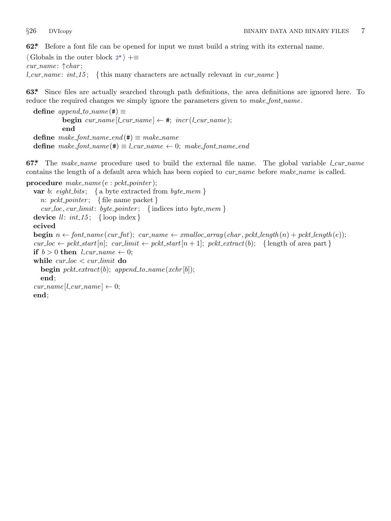<span id="page-6-0"></span>

**62\*.** Before a font file can be opened for input we must build a string with its external name.

*⟨* Globals in the outer block 2\* *⟩* +*≡ cur name* : *↑char* ;

*l cur name* : *int 15* ; *{* this many characters are actually relevant in *cur name }*

**63\*.** Since files are actually searched through path definitions, the area definitions are ignored here. To reduce the required changes we simply ignore the parameters given to *make font name* .

 $\text{define } append\_to\_name(\#) \equiv$ **begin**  $cur_name[lcur_name] \leftarrow \#; incr(l.cur_name);$ **end**  $\text{define } make\_font\_name\_end(\#) \equiv make\_name$  $\text{define } make\_font\_name(\#) \equiv l\_cur\_name \leftarrow 0; \; make\_font\_name\_end$ 

**67\*.** The *make name* procedure used to build the external file name. The global variable *l cur name* contains the length of a default area which has been copied to *cur name* before *make name* is called.

**procedure** *make name* (*e* : *pckt pointer* ); **var** *b*: *eight bits* ; *{* a byte extracted from *byte mem } n*: *pckt pointer* ; *{* file name packet *} cur loc, cur limit*: *byte pointer* ; *{* indices into *byte mem }* **device**  $ll$  :  $int_1 15$ ; {loop index} **ecived begin**  $n \leftarrow$  font\_name(cur\_fnt); cur\_name  $\leftarrow$  xmalloc\_array(char, pckt\_length(n) + pckt\_length(e));  $cur\_loc \leftarrow pckt\_start[n]; \; cur\_limit \leftarrow pckt\_start[n+1]; \; pckt\_extract(b); \; \{ length \; of \; area \; part \}$ **if**  $b > 0$  **then**  $l\_cur\_name \leftarrow 0$ ; **while** *cur loc < cur limit* **do begin**  $pckt\_extract(b);$   $append\_to\_name(xchr[b]);$ **end**;  $cur_name[Lcur_name] \leftarrow 0;$ **end**;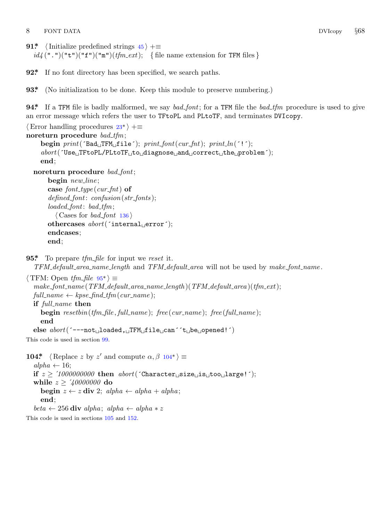<span id="page-7-0"></span>8 FONT DATA DVIcopy *§*68

```
91* \langle Initialize predefined strings 45 \rangle + \equivid_4 (".")("t")("f")("m")(tfm_ext); { file name extension for TFM files }
```
**92\*.** If no font directory ha[s b](#page-5-0)een specified, we search paths.

**93\*** (No initialization to be done. Keep this module to preserve numbering.)

**94\*.** If a TFM file is badly malformed, we say *bad font*; for a TFM file the *bad tfm* procedure is used to give an error message which refers the user to TFtoPL and PLtoTF, and terminates DVIcopy.

```
⟨Error handling procedures 23* ⟩ +≡
noreturn procedure bad tfm;
    begin print(´Bad␣TFM␣file´); print font(cur fnt); print ln(´!´);
    abort(´Use␣TFtoPL/PLtoTF␣to␣diagnose␣and␣correct␣the␣problem´);
    end;
  noreturn procedure bad font;
      begin new line ;
      case font type (cur fnt) of
      defined font: confusion(str fonts );
      loaded font: bad tfm;
        ⟨ Cases for bad font 136 ⟩
      othercases abort(´internal␣error´);
      endcases;
      end;
```

```
95*. To prepare tfm file for input we reset it.
```
*TFM default area name length* and *TFM default area* will not be used by *make font name* .

*⟨* TFM: Open *tfm file* 95\* *⟩ ≡ make font name* (*TFM default area name length* )(*TFM default area* )(*tfm ext*);  $full_name \leftarrow kpse\_find\_tfm(cur\_name);$ **if** *full name* **then begin** *resetbin*(*tfm file , full name* ); *free* (*cur name* ); *free* (*full name* ); **end else** *abort*(´−−−not␣loaded,␣TFM␣file␣can´´t␣be␣opened!´) This code is used in section 99. **104\***  $\langle$  Replace *z* by *z'* and compute  $\alpha, \beta$  104\*)  $\equiv$  $alpha \leftarrow 16;$ **if**  $z \geq 1000000000$  then  $abort('Character \text{``size \text{``size \text{``size \text{``}i}}; to \text{``size \text{``}}; to \text{``size \text{``size \text{``}}; to \text{``size \text{``size \text{``}}; to \text{``size \text{``size \text{``}}; to \text{``size \text{``size \text{``}}; to \text{``size \text{``size \text{``}}; to \text{``size \text{``size \text{``}}; to \text{``size \text{``size \text{``}}; to \text{``size \text{``size \text{``}}; to \text{``size \text{``size \text{``}}; to$ **while** *z ≥* ´*40000000* **do begin**  $z \leftarrow z$  **div** 2;  $alpha \leftarrow alpha + alpha$ ; **end**;

 $beta \leftarrow 256$  **div**  $alpha$ ;  $alpha \leftarrow alpha * z$ 

This code is used in sections 105 and 152.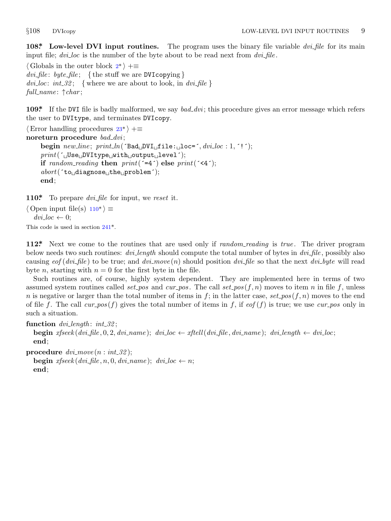<span id="page-8-0"></span>

**108\*. Low-level DVI input routines.** The program uses the binary file variable *dvi file* for its main input file; *dvi loc* is the number of the byte about to be read next from *dvi file* .

*⟨* Globals in the outer block 2\* *⟩* +*≡ dvi file* : *byte file* ; *{* the stu[ff w](#page-5-0)e are DVIcopying *}*  $div*i*loc: int.32;$  {where we are about to look, in  $div*f*$ *ile* } *full name* : *↑char* ;

**109\*.** If the DVI file is badly malformed, we say *bad dvi* ; this procedure gives an error message which refers the user to DVItype, and terminates DVIcopy.

```
⟨Error handling procedures 23* ⟩ +≡
noreturn procedure bad dvi ;
    begin new line ; print ln(´Bad␣DVI␣file:␣loc=´, dvi loc : 1, ´!´);
    print(´␣Use␣DVItype␣with␣output␣level´);
    if random_reading then print('=4') else print('4');
    abort(´to␣diagnose␣the␣problem´);
    end;
```
**110\*.** To prepare *dvi file* for input, we *reset* it.

*⟨* Open input file(s) 110\* *⟩ ≡*  $dvi\_loc \leftarrow 0$ ; This code is used in section 241\*.

**112\*.** Next we come to the routines that are used only if *random reading* is *true* . The driver program below needs two such routines: *dvi length* should compute the total number of bytes in *dvi file* , possibly also causing  $eof (div_{\textit{i}} file)$  to be true; and  $div_{\textit{t}} map(n)$  should position  $div_{\textit{f}} file$  so that the next  $div_{\textit{b}} yte$  will read byte *n*, starting with  $n = 0$  for the first byte in the file.

Such routines are, of course, highly system dependent. They are implemented here in terms of two assumed system routines called *set pos* and *cur pos*. The call *set*  $pos(f, n)$  moves to item *n* in file *f*, unless *n* is negative or larger than the total number of items in  $f$ ; in the latter case,  $set\_pos(f, n)$  moves to the end of file *f*. The call  $cur_{pos}(f)$  gives the total number of items in *f*, if  $eof(f)$  is true; we use  $cur_{pos}$  only in such a situation.

**function** *dvi length* : *int 32* ; **begin**  $x$ fseek(dvi\_file, 0, 2, dvi\_name); dvi\_loc  $\leftarrow$  xftell(dvi\_file, dvi\_name); dvi\_length  $\leftarrow$  dvi\_loc; **end**;

**procedure**  $div{move}(n: int.32)$ ;

**begin**  $x$ fseek ( $dv$ *i*  $\text{file}, n, 0, dv$ *i*  $\text{name}$ );  $dv$ *i*  $\text{loc} \leftarrow n$ ; **end**;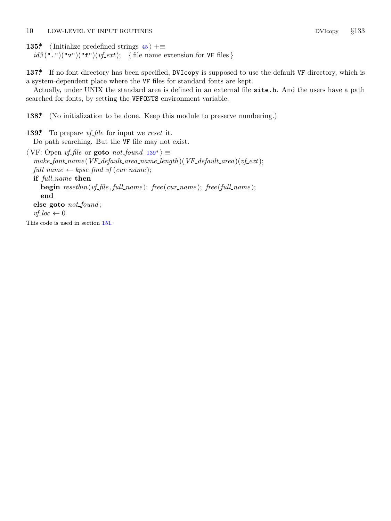<span id="page-9-0"></span>10 LOW-LEVEL VF INPUT ROUTINES DVIcopy *§*133

**135\***  $\langle$  Initialize predefined strings  $45 \rangle + \equiv$  $id3$  (".")("v")("f")( $vf\_ext$ ); { file name extension for VF files }

**137\*.** If no font directory has been specified, DVIcopy is supposed to use the default VF directory, which is a system-dependent place where the VF files for standard fonts are kept.

Actually, under UNIX the standard area is defined in an external file site.h. And the users have a path searched for fonts, by setting the VFFONTS environment variable.

**138\*.** (No initialization to be done. Keep this module to preserve numbering.)

**139\*.** To prepare *vf file* for input we *reset* it. Do path searching. But the VF file may not exist.

*⟨* VF: Open *vf file* or **goto** *not found* 139\* *⟩ ≡ make font name* (*VF default area name length* )(*VF default area* )(*vf ext*);  $full_name \leftarrow kpse\_find\_vf(cur_name);$ **if** *full name* **then begin** *resetbin*(*vf file , full name* ); *free* (*cur name* ); *free* (*full name* ); **end else goto** *not found* ;  $v_f$ *loc*  $\leftarrow 0$ This code is used in section 151.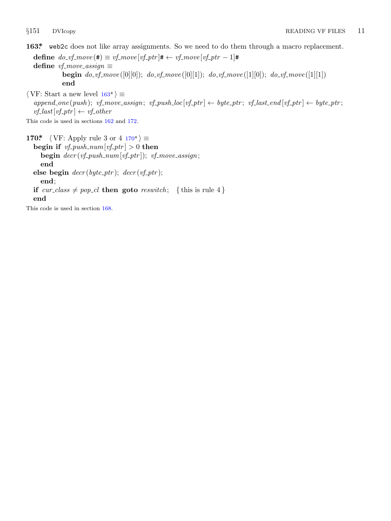<span id="page-10-0"></span>

**163\*.** web2c does not like array assignments. So we need to do them through a macro replacement. **define**  $do\_vf\_move$  (#)  $\equiv vf\_move$  [*vf\_ptr*]#  $\leftarrow vf\_move$  [*vf\_ptr*  $-1$ ]#  $\text{define } v \text{f}$ *\_move\_assign*  $\equiv$ **begin** *do vf move* ([0][0]); *do vf move* ([0][1]); *do vf move* ([1][0]); *do vf move* ([1][1]) **end** *⟨* VF: Start a new level 163\* *⟩ ≡*  $append\_one(push); \hspace{1mm} vf\_move\_assign; \hspace{1mm} vf\_push\_loc[vf\_ptr] \leftarrow byte\_ptr; \hspace{1mm} vf\_last\_end[vf\_ptr] \leftarrow byte\_ptr;$  $v f$ <sub>-last</sub> $[v f$ <sub>-p</sub>tr<sub> $]$ </sub>  $\leftarrow v f$ <sub>-</sub>other This code is used in sections 162 and 172. **170\***  $\langle \text{VF: Apply rule 3 or 4 } 170^* \rangle \equiv$ **begin if**  $vf$ -push\_num $[vf$ -ptr $] > 0$  **then begin** *decr* (*vf push num*[*vf ptr* ]); *vf move assign*; **end else begin**  $decr (byte\_ptr)$ ;  $decr (vf\_ptr)$ ; **end**;

**if**  $cur\_class \neq pop\_cl$  **then goto**  $result$ ; {this is rule 4} **end**

This code is used in section 168.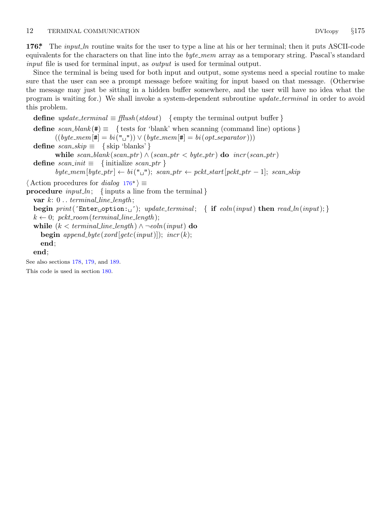### <span id="page-11-0"></span>12 TERMINAL COMMUNICATION DVIcopy *§*175

**176\*.** The *input ln* routine waits for the user to type a line at his or her terminal; then it puts ASCII-code equivalents for the characters on that line into the *byte mem* array as a temporary string. Pascal's standard *input* file is used for terminal input, as *output* is used for terminal output.

Since the terminal is being used for both input and output, some systems need a special routine to make sure that the user can see a prompt message before waiting for input based on that message. (Otherwise the message may just be sitting in a hidden buffer somewhere, and the user will have no idea what the program is waiting for.) We shall invoke a system-dependent subroutine *update terminal* in order to avoid this problem.

**define**  $update\_terminal \equiv \text{fflush}(stdout)$  {empty the terminal output buffer } **define**  $scan\_blank$  ( $#$ )  $\equiv$  { tests for 'blank' when scanning (command line) options }  $((byte\_mem[#] = bi("□") \vee (byte\_mem[#] = bi(opt\_separator)))$ **define**  $scan\_skip \equiv \{ \text{skip 'blanks'} \}$ **while**  $scan\_blank(scan\_ptr) ∧ (scan\_ptr < by>byte\_ptr)$  **do**  $incr(scan\_ptr)$ **define**  $scan\_init \equiv \{$  initialize  $scan\_ptr \}$  $byte\_mem[byte\_ptr] \leftarrow bi("\sqcup")$ ;  $scan\_ptr \leftarrow pckt\_start[pckt\_ptr - 1]$ ;  $scan\_skip$ *⟨* Action procedures for *dialog* 176\* *⟩ ≡* **procedure**  $input\_ln$ ; {inputs a line from the terminal *}* **var** *k*: 0 *. . terminal line length* ; **begin**  $print('Enter \text{__option:__'});$  *update\_terminal*; { **if**  $eoln(input)$  **then**  $read\_ln(input);$ }  $k \leftarrow 0$ ;  $pckt$  *room*( $terminal$  *line length*); **while**  $(k < terminal\_line\_length) \land \neg \text{ }= oln(\text{input})$  **do begin**  $append\_byte(xord[getc(input)]);$   $incr(k);$ **end**; **end**; See also sections 178, 179, and 189. This code is used in section 180.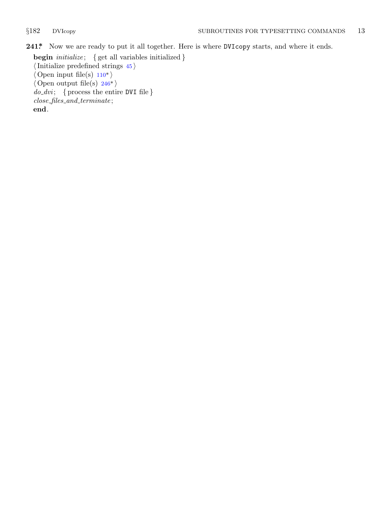<span id="page-12-0"></span>

**241\*.** Now we are ready to put it all together. Here is where DVIcopy starts, and where it ends.

**begin** *initialize* ; *{* get all variables initialized *} ⟨*Initialize predefined strings 45 *⟩ ⟨* Open input file(s) 110\* *⟩ ⟨* Open output file(s) 246\* *⟩ do dvi* ; *{* process the entire DVI file *} close files and terminate* ; **end**.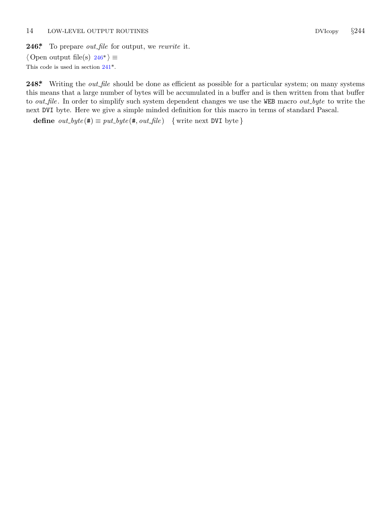<span id="page-13-0"></span>**246\*.** To prepare *out file* for output, we *rewrite* it.

*⟨* Open output file(s) 246\* *⟩ ≡* This code is used in section 241\*.

**248\*.** Writing the *out file* should be done as efficient as possible for a particular system; on many systems this means that a large number of bytes will be accumulated in a buffer and is then written from that buffer to *out file* . In order to simplify such system dependent changes we use the WEB macro *out byte* to write the next DVI byte. Here we give a simple minded definition for this macro in terms of standard Pascal.

**define**  $out\_byte(\textbf{\#}) \equiv put\_byte(\textbf{\#}, out\_file)$  {write next DVI byte}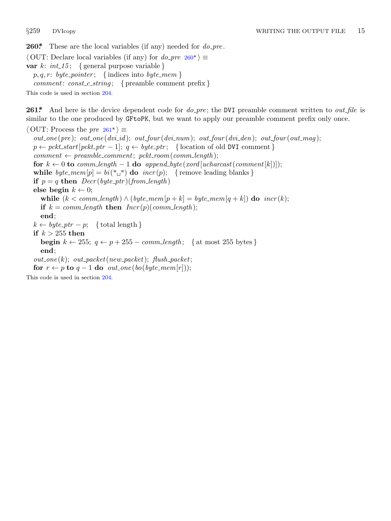<span id="page-14-0"></span>

**260\*.** These are the local variables (if any) needed for *do pre* .

*⟨* OUT: Declare local variables (if any) for *do pre* 260\* *⟩ ≡* **var**  $k$ :  $int_1 15$ ; { general purpose variable } *p, q, r*: *byte pointer* ; *{* indices into *byte mem }*

*comment*: *const c string* ; *{* preamble comment prefix *}*

This code is used in section 204.

**261\*.** And here is the device dependent code for *do pre* ; the DVI preamble comment written to *out file* is similar to the one produced by GFtoPK, but we want to apply our preamble comment prefix only once.

*⟨* OUT: Process the *pre* 261\* *⟩ ≡*  $out\_{one}(pre); out\_{one}(div\_{id}); out\_{four}(div\_{num}); out\_{four}(div\_{den}); out\_{four}(out\_{map});$  $p \leftarrow pcht\_start[pckt\_ptr-1]; q \leftarrow byte\_ptr; \{location of old DVI comment\}$  $comment \leftarrow \textit{preample\_comment}; \textit{pckt\_room}(\textit{comm\_length});$ **for**  $k \leftarrow 0$  **to**  $comm\_length - 1$  **do**  $append\_byte(xord[ucharcast(comment[k])]);$ **while**  $byte\_mem[p] = bi("□")$  **do**  $incr(p)$ ; {remove leading blanks} **if**  $p = q$  **then**  $Decr(byte\_ptr)(from\_length)$ **else begin**  $k \leftarrow 0$ ; **while**  $(k < comm$  *length*  $) \land (byte\_mem[p+k] = byte\_mem[q+k])$  **do**  $incr(k);$ **if**  $k = comm\_length$  **then**  $Incr(p)(comm\_length);$ **end**;  $k \leftarrow byte\_ptr - p; \text{ { total length } }$ **if** *k >* 255 **then begin**  $k \leftarrow 255$ ;  $q \leftarrow p + 255 - \text{comm\_length}$ ; { at most 255 bytes } **end**;  $out\_{one}(k)$ ;  $out\_{packet}(new\_{packet})$ ;  $flux\_{packet}$ ; **for**  $r \leftarrow p$  **to**  $q - 1$  **do**  $out\_one(bo(byte\_mem[r]))$ ; This code is used in section 204.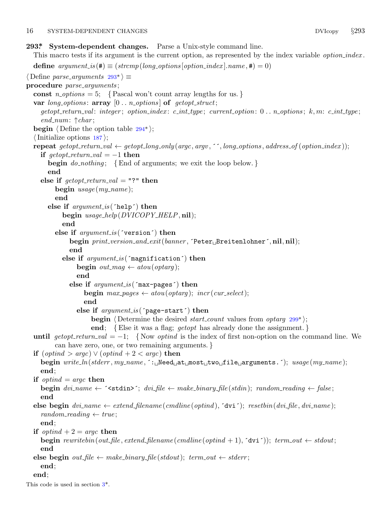### <span id="page-15-0"></span>16 SYSTEM-DEPENDENT CHANGES DVIcopy *§*293

**293\*. System-dependent changes.** Parse a Unix-style command line.

```
This macro tests if its argument is the current option, as represented by the index variable option index .
  define argument_is(\textbf{\#}) \equiv (strom (long-options[option_index].name, \textbf{\#}) = 0)⟨ Define parse arguments 293* ⟩ ≡
procedure parse arguments ;
  const n\text{-}options = 5; \{Pascal won't count array lengths for us. \}var long options : array [0 . . n options ] of getopt struct;
     getopt_r return\_val: integer; option\_index: c\_int\_type; current\_option: 0...n\_options; k,m: c\_int\_type;end num: ↑char ;
  begin ⟨ Define the option table 294* ⟩;
  ⟨Initialize options 187 ⟩;
  repeat qetopt_rreturn\_val \leftarrow qetopt\_long\_only(argc, argv, \text{''}', long\_options, address\_of(option\_index));if qetopt\_return\_val = -1 then
       begin do nothing ; {End of arguments; we exit the loop below. }
       end
     else if qetopt\_return\_val = "?" then
          begin usage (my name );
          end
       else if argument is (´help´) then
            begin usage help(DVICOPY HELP, nil);
            end
          else if argument is (´version´) then
               begin print version and exit(banner , ´Peter␣Breitenlohner´, nil, nil);
               end
            else if argument is (´magnification´) then
                 begin out\_mag \leftarrow atou(optarg);end
               else if argument is (´max−pages´) then
                    begin max\_pages \leftarrow atou(optarg); incr(cur\_select);end
                  else if argument is (´page−start´) then
                      begin ⟨ Determine the desired start count values from optarg 299* ⟩;
                      end; {Else it was a flag; getopt has already done the assignment. }
  until getopt\_return\_val = -1; {Now optind is the index of first non-option on the command line. We
          can have zero, one, or two remaining arguments. }
  if (optind > argc) ∨ (optind + 2 < argc) then
     begin write ln(stderr , my name , ´:␣Need␣at␣most␣two␣file␣arguments.´); usage (my name );
     end;
  if optind = argc then
     begin div name \leftarrow \leq \leq \leq \leq \leq \leq \leq \leq \leq \leq \leq \leq \leq \leq \leq \leq \leq \leq \leq \leq \leq \leq \leq \leq \leq \leq \leq \leq \leq \leq \leq \leq \leq \leqend
  else begin dvi name ← extend filename (cmdline (optind ), ´dvi´); resetbin(dvi file , dvi name );
     random\_reading \leftarrow true;end;
  if optind + 2 = \text{area} then
     begin \textit{rewritten}(\textit{out}\_\textit{file}, \textit{extend}\_\textit{filename}(\textit{cendline}(\textit{optind} + 1), \text{`dvi'}); \textit{term}\_\textit{out} \leftarrow \textit{stdout};end
  else begin out\_file ← make\_binary\_file(stdout); term\_out ← stderr;end;
  end;
This code is used in section 3*.
```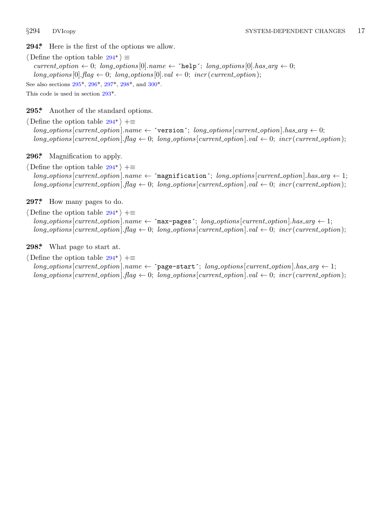<span id="page-16-0"></span>

**294\*.** Here is the first [of t](#page-15-0)he options we allow.

*⟨* Define the option table 294\* *⟩ ≡*  $current\text{-}option \leftarrow 0; long\text{-}options[0].name \leftarrow 'help'; long\text{-}options[0].has\text{-}arg \leftarrow 0;$  $long\_options[0].flag \leftarrow 0; long\_options[0].val \leftarrow 0; incr(current\_option);$ See also sections 295\*, 296\*, 297\*, 298\*, and 300\*. This code is used in section 293\*.

**295\*.** Another of the standard options.

*⟨* Define the option table 294\* *⟩* +*≡*  $long-options$  [*current\_option*]*.name*  $\leftarrow$   $\infty$   $\infty$   $\infty$ *is arg*  $\infty$ *j*.  $long\_options$  [*current\_option*]*.flag*  $\leftarrow 0$ ; *long\_options* [*current\_option*]*.val*  $\leftarrow 0$ ; *incr* (*current\_option*);

**296\*.** Magnification to apply.

*⟨* Define the option table 294\* *⟩* +*≡*  $long-options$  [*current\_option*]*.name*  $\leftarrow$   $\lceil$ **magnification** $\lceil$ ;  $\lceil \log_2 options \rceil$  [*current\_option*]*.has\_arg*  $\leftarrow$  1;  $long\_options$  [*current\_option*]*.flag*  $\leftarrow 0$ ; *long\_options* [*current\_option*]*.val*  $\leftarrow 0$ ; *incr* (*current\_option*);

**297\*.** How many pages to do.

*⟨* Define the option table 294\* *⟩* +*≡*  $long-options[current\_option].name ← 'max-pages'; long\_options[current\_option].has_arg ← 1;$  $long\_options$  [*current\_option*]*.flag*  $\leftarrow 0$ ; *long\_options* [*current\_option*]*.val*  $\leftarrow 0$ ; *incr* (*current\_option*);

**298\*.** What page to start at.

*⟨* Define the option table 294\* *⟩* +*≡*  $long\_options$  [*current\_option*]*.hame*  $\leftarrow$  ^page−start´; *long\_options* [*current\_option*]*.has\_arg*  $\leftarrow$  1;  $long\_options$  [*current\_option*]*.flag*  $\leftarrow 0$ ; *long\_options* [*current\_option*]*.val*  $\leftarrow 0$ ; *incr* (*current\_option*);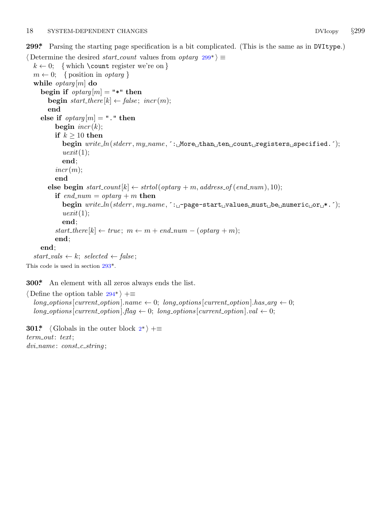<span id="page-17-0"></span>**299\*.** Parsing the starting page specification is a bit complicated. (This is the same as in DVItype.)

```
⟨ Determine the desired start count values from optarg 299* ⟩ ≡
  k \leftarrow 0; { which \count register we're on }
  m \leftarrow 0; { position in optarg }
  while optarg [m] do
    begin if optarg[m] = "*" then
       begin start\_there[k] \leftarrow false; incr(m);end
    else if optarg[m] = "." then
         begin incr (k);
         if k \geq 10 then
            begin write ln(stderr , my name , ´:␣More␣than␣ten␣count␣registers␣specified.´);
            uexit(1);
            end;
         incr(m);end
       \mathbf{else} begin start\_count[k] \leftarrow strtol(optarg + m, address\_of(end\_num), 10);if end_{num} = optarg + m then
            begin write ln(stderr , my name , ´:␣−page−start␣values␣must␣be␣numeric␣or␣*.´);
            uexit(1);
            end;
         start\_there[k] \leftarrow true; m \leftarrow m + end\_num - (optarg + m);end;
    end;
  start\_vals \leftarrow k; selected \leftarrow false;
This code is used in section 293*.
```
**300\*.** An element with all zeros al[w](#page-1-0)ays ends the list.

*⟨* Define the option table 294\* *⟩* +*≡*  $long\_options[current\_option].name \leftarrow 0; long\_options[current\_option].has\_arg \leftarrow 0;$  $long\_options[current\_option]$ *.flag*  $\leftarrow 0$ ;  $long\_options[current\_option]$ *.val*  $\leftarrow 0$ ;

**301\***  $\langle$  Globals in the outer block  $2^*$   $\rangle$  += *term out*: *text*; *dvi name* : *const c string* ;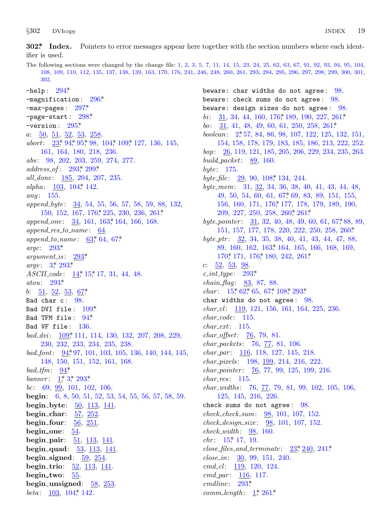<span id="page-18-0"></span> $§302$ **DVIcopy** 

begin\_one:  $54$ .

begin\_two:  $55$ 

begin\_quad:  $\frac{53}{113}$ ,  $\frac{141}{141}$ .

begin\_signed:  $59, 254$ .

begin\_trio:  $\frac{52}{113}$ ,  $\frac{141}{141}$ .

begin\_unsigned:  $58$ ,  $253$ . *beta*:  $\frac{103}{104}$ ,  $\frac{104}{142}$ .

 $begin{bmatrix} \nbegin{bmatrix} 1 & 0 \\ 0 & 1 \end{bmatrix} \n\end{bmatrix}$ 

 $51, 113, 141.$ 

302\* Index. Pointers to error messages appear here together with the section numbers where each identifier is used.

The following sections were changed by the change file: 1, 2, 3, 5, 7, 11, 14, 15, 23, 24, 25, 62, 63, 67, 91, 92, 93, 94, 95, 104, 108, 109, 110, 112, 135, 137, 138, 139, 163, 170, 176, 241, 246, 248, 260, 261, 293, 294, 295, 296, 297, 298, 299, 300, 301, 302.  $-$ help:  $294*$ beware: char widths do not agree:  $98$ .  $-magnification: 296*$ beware: check sums do not agree:  $98$ . -max-pages:  $297^*$ beware: design sizes do not agree: 98. -page-start:  $298*$ *bi*: 31, 34, 44, 160, 176, 189, 190, 227, 261\*  $-$ version:  $295*$ *bo*:  $31, 41, 48, 49, 60, 61, 250, 258, 261*$ boolean: 2, 57, 84, 86, 98, 107, 122, 125, 132, 151,  $a: \underline{50}, \underline{51}, \underline{52}, \underline{53}, \underline{258}.$ abort: 23, 94, 95, 98, 104, 109, 127, 136, 145, 154, 158, 178, 179, 183, 185, 186, 213, 222, 252. 161, 164, 180, 218, 236. *bop*:  $26, 119, 121, 185, 205, 206, 229, 234, 235, 263.$ abs: 98, 202, 203, 259, 274, 277. build packet:  $89, 160$ .  $address\_of: 293, 299*$ byte:  $175$ . all\_done: 185, 204, 207, 235. byte\_file:  $29, 90, 108, 134, 244$ . alpha:  $103, 104, 142.$ byte\_mem: 31, 32, 34, 36, 38, 40, 41, 43, 44, 48, any:  $155$ . 49, 50, 54, 60, 61, 67\* 69, 83, 89, 151, 155, 156, 160, 171, 176, 177, 178, 179, 189, 190, append\_byte: 34, 54, 55, 56, 57, 58, 59, 88, 132, 150, 152, 167, 176, 225, 230, 236, 261\*  $209, 227, 250, 258, 260, 261$ append\_one: 34, 161, 163,\* 164, 166, 168. byte\_pointer:  $\frac{31}{32}$ , 32, 40, 48, 49, 60, 61, 67, 88, 89,  $append\_res\_to\_name: \underline{64}.$ 151, 157, 177, 178, 220, 222, 250, 258, 260\* append\_to\_name:  $63^*$  64, 67\* byte\_ptr:  $32, 34, 35, 38, 40, 41, 43, 44, 47, 88,$ argc:  $293^*$ 89, 160, 162, 163\* 164, 165, 166, 168, 169,  $argument_is: \quad 293^*$ 170\* 171, 176\* 180, 242, 261\*  $argv: 3^*$  293\*  $c: \underline{52}, \underline{53}, \underline{98}.$ ASCIL<sub>code</sub>: 14<sup>\*</sup>, 15<sup>\*</sup>, 17, 31, 44, 48.  $c\_int\_type: 293*$ atou:  $293^*$ *chain\_flag*:  $83, 87, 88$ . *char:*  $15^*62^*65$ ,  $67^*108^*293^*$ b:  $\frac{51}{2}, \frac{52}{2}, \frac{53}{2}, \frac{67}{2}$ char widths do not agree:  $98$ . Bad char c: 98.  $char_{c}l$ : 119, 121, 156, 161, 164, 225, 236. Bad DVI file:  $109*$  $char\_code$ : 115. Bad TFM file: 94\* Bad VF file: 136.  $char\_ext: 115.$  $bad\_dvi$ : 109\* 111, 114, 130, 132, 207, 208, 229, *char\_offset:*  $76, 79, 81$ . 230, 232, 233, 234, 235, 238. *char\_packets:*  $76, 77, 81, 106$ . bad\_font:  $94,97,101,103,105,136,140,144,145,$  $char\_par: 116, 118, 127, 145, 218.$ 148, 150, 151, 152, 161, 168. *char\_pixels:* 198, 199, 214, 216, 222.  $bad\_tfm: 94*$ *char\_pointer:*  $\frac{76}{77}$ , 99, 125, 199, 216. banner:  $1^*3^*293^*$  $char\_res: 115.$ *char\_widths:*  $76, \frac{77}{7}, 79, 81, 99, 102, 105, 106,$ *bc*: 69, <u>99</u>, 101, 102, 106. 125, 145, 216, 226. **begin:** 6, 8, 50, 51, 52, 53, 54, 55, 56, 57, 58, 59. begin\_byte:  $\frac{50}{113}$ ,  $\frac{141}{141}$ . check sums do not agree: 98. begin\_char:  $\frac{57}{252}$ .  $check\_check\_sum: 98, 101, 107, 152.$ begin\_four:  $\frac{56}{251}$ .  $check\_design\_size: 98, 101, 107, 152.$ 

 $check\_width: 98, 160.$  $chr: 15^* 17, 19.$ 

 $close_{\text{-}files\_and_{\text{-}}terminate:}$   $23, 240, 241.$  $close_in: 30, 99, 151, 240.$  $cmd\_cl$ : 119, 120, 124.

 $cmd\_par: 116, 117.$  $cmdline: 293*$ 

 $comm\_length: \quad \underline{1}^*, \; 261^*$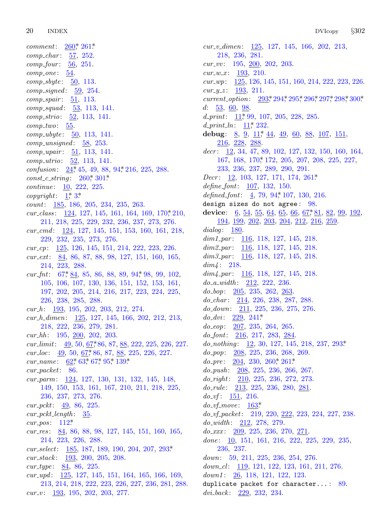20 **INDEX** 

 $260$ <sup>\*</sup>  $261$ <sup>\*</sup>  $comment:$  $comp\_char: 57, 252.$  $comp_{\text{}}four: 56, 251.$  $comp\_one: 54.$ *comp\_sbyte*:  $\frac{50}{13}$ .  $comp\_signed: 59, 254.$  $comp\_spair: \underline{51}, 113.$  $comp\_squad: 53, 113, 141.$ comp\_strio: 52, 113, 141.  $comp\_two: 55.$  $comp\_ubyte: 50, 113, 141.$  $comp\_unsigned: 58, 253.$  $comp\_upair: 51, 113, 141.$ *comp\_utrio*: 52, 113, 141. confusion:  $24, 45, 49, 88, 94, 216, 225, 288$ .  $const_c\_string: 260, 301.$ *continue*:  $10, 222, 225$ . copyright:  $1^*3^*$ *count*:  $185, 186, 205, 234, 235, 263.$ cur\_class:  $124, 127, 145, 161, 164, 169, 170, 210,$ 211, 218, 225, 229, 232, 236, 237, 273, 276. cur\_cmd: 124, 127, 145, 151, 153, 160, 161, 218, 229, 232, 235, 273, 276. cur\_cp: 125, 126, 145, 151, 214, 222, 223, 226. cur\_ext:  $84, 86, 87, 88, 98, 127, 151, 160, 165,$ 214, 223, 288. cur\_fnt:  $67, 84, 85, 86, 88, 89, 94, 98, 99, 102,$ 105, 106, 107, 130, 136, 151, 152, 153, 161, 197, 202, 205, 214, 216, 217, 223, 224, 225, 226, 238, 285, 288.  $cur_h: \quad \underline{193}, \ 195, \ 202, \ 203, \ 212, \ 274.$ cur\_h\_dimen: 125, 127, 145, 166, 202, 212, 213, 218, 222, 236, 279, 281.  $cur_hh: 195, 200, 202, 203.$ cur\_limit:  $49, 50, 67, 86, 87, 88, 222, 225, 226, 227$ . cur\_loc:  $\frac{49}{50}$ , 50, 67, 86, 87, 88, 225, 226, 227. cur\_name:  $62$ <sup>\*</sup>,  $63$ <sup>\*</sup>,  $67$ <sup>\*</sup>,  $95$ <sup>\*</sup>,  $139$ <sup>\*</sup>  $cur\_packet: 86$ . cur\_parm: 124, 127, 130, 131, 132, 145, 148, 149, 150, 153, 161, 167, 210, 211, 218, 225, 236, 237, 273, 276.  $cur-pckt: \quad 49, 86, 225.$  $cur\_pckt\_length: 35$ .  $cur_pos: 112^*$ cur\_res:  $84, 86, 88, 98, 127, 145, 151, 160, 165,$ 214, 223, 226, 288. cur\_select:  $185, 187, 189, 190, 204, 207, 293*$  $cur\_stack: 193, 200, 205, 208.$  $cur\_type: 84, 86, 225.$ cur\_upd:  $\frac{125}{125}$ , 127, 145, 151, 164, 165, 166, 169, 213, 214, 218, 222, 223, 226, 227, 236, 281, 288.  $cur_v: \quad \underline{193}, \ 195, \ 202, \ 203, \ 277.$ 

 $cur_v_d = 125, 127, 145, 166, 202, 213,$ 218, 236, 281.  $cur_{\perp} vv: 195, 200, 202, 203.$  $cur_{-}w_{-}x$ : 193, 210.  $cur\_wp:$  125, 126, 145, 151, 160, 214, 222, 223, 226. *cur\_y\_z*:  $\frac{193}{211}$ .  $current\_option:$ 293\* 294\* 295\* 296\* 297\* 298\* 300\*  $d: 53, 60, 98.$ d\_print:  $11$ , 99, 107, 205, 228, 285. d\_print\_ln:  $11^*$  232. debug:  $8, 9, 11, 44, 49, 60, 88, 107, 151,$  $216, 228, 288$  $decr: 12, 34, 47, 89, 102, 127, 132, 150, 160, 164,$ 167, 168, 170, 172, 205, 207, 208, 225, 227, 233, 236, 237, 289, 290, 291. *Decr*:  $\frac{12}{103}$ , 127, 171, 174, 261\* define  $font: 107, 132, 150.$ defined\_font:  $\frac{4}{5}$ , 79, 94, 107, 130, 216. design sizes do not agree:  $98$ . device:  $\,6, 54, 55, 64, 65, 66, 67, 81, 82, 99, 192,$ 194, 199, 202, 203, 204, 212, 216, 259. dialog:  $180$ .  $dim1\_par: 116, 118, 127, 145, 218.$  $dim2\_par$ : 116, 118, 127, 145, 218.  $dim3\_par$ : 116, 118, 127, 145, 218.  $dim4: 218.$  $dim\{4\text{-}par: \quad \underline{116}, 118, 127, 145, 218.$  $do_a_width: 212, 222, 236.$  $do_{-}bop: \quad 205, 235, 262, 263.$  $do_{c}char: 214, 226, 238, 287, 288.$  $do\_down: 211, 225, 236, 275, 276.$  $do\_dvi$ : 229, 241\*  $do\_{eop}: \quad 207, \ 235, \ 264, \ 265.$  $do_{\text{f}}ont$ : 216, 217, 283, 284. do\_nothing:  $12, 30, 127, 145, 218, 237, 293*$  $do\_pop:$   $208, 225, 236, 268, 269.$  $do_{\text{P}}$   $ne:$   $\frac{204}{204}$ ,  $\frac{230}{260}$ ,  $\frac{260*}{261*}$  $do\_push: \quad 208, 225, 236, 266, 267.$  $do\_right: 210, 225, 236, 272, 273.$  $do_{\text{-}rule:}$   $\frac{213}{213}$ , 225, 236, 280, 281.  $do\_vf$ : 151, 216.  $do\_vf\_move: 163^*$  $do_v f_{\text{p}} \text{acket:}$  219, 220, 222, 223, 224, 227, 238.  $do\_width: 212, 278, 279.$  $do\_xxx$ : 209, 225, 236, 270, 271. done: 10, 151, 161, 216, 222, 225, 229, 235, 236, 237.  $down: 59, 211, 225, 236, 254, 276.$  $down\_cl$ : 119, 121, 122, 123, 161, 211, 276. down1:  $26, 118, 121, 122, 123$ . duplicate packet for character...:  $89.$  $dvi_back: 229, 232, 234.$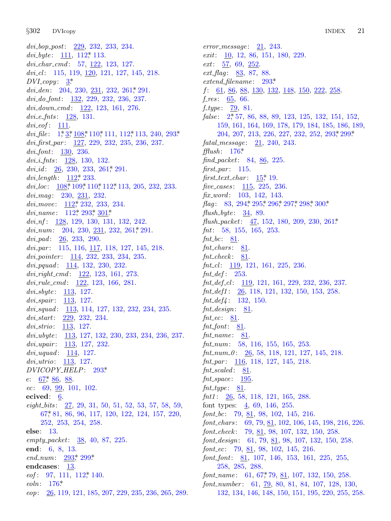*§*302 DVI[cop](#page-2-0)y INDEX 21

*dvi bop post*: 229, 232, 233, 234. *dvi byte* : 111, 112\*, 113. *dvi char cmd* : 57, 122, 123, 127. *dvi cl* : 115, 119, 120, 121, 127, 145, 218.  $DVI$  *copy* [:](#page-1-0)  $3^*$  $3^*$ *dvi\_den*: 204, 230, 231, 232, 261, 291. *dvi do font*: 132, 229, 232, 236, 237. *dvi down cmd* : 122, 123, 161, 276. *dvi e fnts* : 128, 131. *dvi eof* : 11[1.](#page-8-0) dvi<sub>-file</sub> : 1,\* 3,\* [108](#page-8-0),\* [110](#page-8-0),\* [111](#page-8-0), 112,\* 113, 240, 293,\* *dvi first par* : 127, 229, 232, 235, 236, 237. *dvi font*: 1[30,](#page-8-0) 236. *dvi i fnts* : [128,](#page-8-0) [130,](#page-15-0) [132.](#page-17-0) *dvi\_id* : <u>26</u>, 230, 233, 261, 291. *dvi length* : 112\*, 233. *dvi loc*: 108\*, 109\*, 110\*, 112\*, 113, 205, 232, 233. *dvi mag* : 230, 231, 232. *dvi move* : 112\*, 232, 233, 234. *dvi name* : 112\*, 293\*, 301\*. *dvi nf* : 128, 129, 130, 131, 132, 242. *dvi\_num*: 204, 230, 231, 232, 261, 291. *dvi pad* : 26, 233, 290. *dvi par* : 115, 116, 117, 118, 127, 145, 218. *dvi pointer* : 114, 232, 233, 234, 235. *dvi pquad* : 114, 132, 230, 232. *dvi right cmd* : 122, 123, 161, 273. *dvi rule cmd* : 122, 123, 166, 281. *dvi sbyte* : 113, 127. *dvi spair* : 113, 127. *dvi squad* : 113, 114, 127, 132, 232, 234, 235. *dvi start*: 229, 232, [234](#page-15-0). *dvi [str](#page-6-0)io*: 113, 127. *dvi ubyte* : 113, 127, 132, 230, 233, 234, 236, 237. *dvi upair* : 113, 127, 232. *dvi uquad* : 114, 127. *dvi [utri](#page-6-0)o*: 113, 127. *DVICOPY HELP*: 293\*. *e*: <u>67</u><sup>\*</sup>, <u>86</u>, <u>88</u>. *ec*: 69, 99, 101, 102. **ecived**: 6. *eight bits* : [27,](#page-15-0) [29,](#page-17-0) 31, 50, 51, 52, 53, 57, 58, 59, 67\*, 81, 86, 96, 117, 120, 122, 124, 157, 220, 252, 253, [254,](#page-8-0) 258. **else**: [13.](#page-11-0) *empty packet*: 38, 40, 87, 225. **end**: 6, 8, 13. *end num*: 293\*, 299\*. **endcases**: 13. *eof* : 97, 111, 112, 140. *eoln*: 176\*. *eop*: 26, 119, 121, 185, 207, 229, 235, 236, 265, 289. *error message* : 21, 243. *exit*: <u>10</u>, 12, 86, 151, 180, 229. *ext*: 5[7,](#page-1-0) 69, 252. *ext flag* : 83, 87, 88. *extend filename* : 293\*. *f*: 61, 86, 88, 130, 132, 148, 150, 222, 258. *f res* : [65,](#page-11-0) 66. *f type* : 79, 81. false: 2,\* 57, 86, 88, 89, 123, 125, 132, 151, 152, 159, 161, 16[4,](#page-4-0) 169, 178, 179, 184, 185, 186, 189, 204, 207, 213, 226, 227, 232, 252, 293\*, 299\*. *fatal message* : 21, 240, 243. *fflush* : 1[76\\*.](#page-16-0) *find packet*: 8[4,](#page-16-0) 86, [22](#page-16-0)5[.](#page-16-0) *first par* : 115. *first text char* : 15\*, 19. *five cases* : 115, 225, 236. *fix word* : 103, 142, 143. *flag*: 83, 294, 295, 296, 297, 298, 300\* *flush byte* : 34, 89. *flush packet*: 47, 152, 180, 209, 230, 261\*. *fnt*: 58, 155, 165, 253. *fnt bc*: 81. *fnt chars* : 81.  $fnt\_check:$  81. *fnt cl* : 119, 121, 161, 225, 236. *fnt def* : 253. *fnt def cl* : 119, 121, 161, 229, 232, 236, 237. *fnt def1* : 26, 118, 121, 132, 150, 153, 258. *fnt def4* : 132, 150.  $fnt\_design:$  81.  $fnt\_ec$ : 81. *fnt font*: 81. *fnt name* : 81. *fnt num*: 58, 116, 155, 165, 253. *fnt num 0* : 26, 58, 118, 121, 127, 145, 218. *fnt par* : 116, 118, 127, 145, 218. *fnt scaled* : 81. *fnt space* : 195. *fnt\_type* : 81. *fnt1* : 26, 58, 118, 121, 165, 288. font types:  $\frac{4}{5}$ , 69, 146, 255. *font bc*: 79, 81, 98, 102, 145, 216. *font chars* : 69, [79,](#page-6-0) 81, 102, 106, 145, 198, 216, 226. *font check* : 79, 81, 98, 107, 132, 150, 258. *font design*: 61, 79, 81, 98, 107, 132, 150, 258. *font ec*: 79, 81, 98, 102, 145, 216. *font font*: 81, 107, 146, 153, 161, 225, 255, 258, 285, 288. *font\_name*: 61, 67,\*79, 81, 107, 132, 150, 258. *font number* : 61, 79, 80, 81, 84, 107, 128, 130,

132, 134, 146, 148, 150, 151, 195, 220, 255, 258.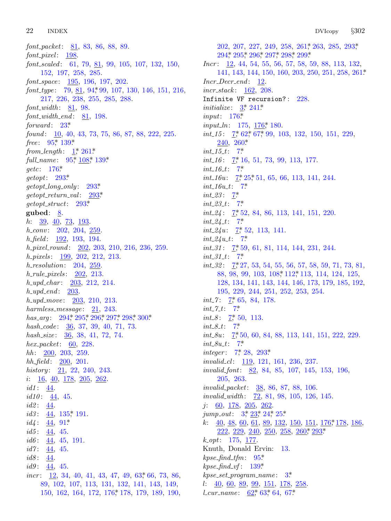22 **INDEX** 

font\_packet:  $81, 83, 86, 88, 89$ .  $font\_pixel: 198$ .  $font\_scaled: 61, 79, 81, 99, 105, 107, 132, 150,$ 152, 197, 258, 285.  $font\_space: 195, 196, 197, 202.$ font\_type:  $79, 81, 94, 99, 107, 130, 146, 151, 216,$ 217, 226, 238, 255, 285, 288.  $font\_width: 81, 98.$  $font_width\_end:$  81, 198. forward:  $23^*$ found:  $10, 40, 43, 73, 75, 86, 87, 88, 222, 225.$ free:  $95^*$  139\* from\_length:  $1$ <sup>\*</sup>,  $261$ <sup>\*</sup> full\_name: 95,\* 108,\* 139.\* *getc*:  $176^*$  $\text{getopt}: 293^*$  $getopt\_long\_only: 293*$  $getopt\_return\_val: 293*$  $getopt\_struct: 293*$ gubed:  $8$ .  $h: \frac{39}{9}, \frac{40}{73}, \frac{73}{193}.$  $h_{\text{..}}conv: 202, 204, 259.$  $h_{\text{eff}} = 192, 193, 194.$ *h\_pixel\_round:* 202, 203, 210, 216, 236, 259.  $h$ -pixels:  $199, 202, 212, 213.$  $h$ -resolution: 204, 259.  $h_{\text{rule}}$ -pixels:  $202, 213$ .  $h\_upd\_char: 203, 212, 214.$  $h\_upd\_end$ : 203.  $h\_upd\_move: \quad 203, \; 210, \; 213.$ harmless\_message:  $21, 243$ . has\_arg:  $294$ ,  $295$ ,  $296$ ,  $297$ ,  $298$ ,  $300$ \* hash\_code: 36, 37, 39, 40, 71, 73. hash\_size: 36, 38, 41, 72, 74.  $hex\_packet: 60, 228.$  $hh: 200, 203, 259.$  $hh_{\text{th}}$  field:  $200, 201$ . history:  $21, 22, 240, 243$ . *i*:  $\underline{16}$ ,  $\underline{40}$ ,  $\underline{178}$ ,  $\underline{205}$ ,  $\underline{262}$ .  $id1: \underline{44}.$  $id10: \underline{44}$ , 45.  $id2: \underline{44}.$  $id3: 44, 135$ , 191.  $id4: 44, 91*$  $id5: 44, 45.$  $id6: \underline{44}$ , 45, 191. *id* $7 \tfrac{44}{5}$ , 45.  $id8: \frac{44}{3}$  $id9: \underline{44}$ , 45. *incr*:  $12, 34, 40, 41, 43, 47, 49, 63, 66, 73, 86,$ 89, 102, 107, 113, 131, 132, 141, 143, 149, 150, 162, 164, 172, 176, 178, 179, 189, 190,

202, 207, 227, 249, 258, 261, 263, 285, 293, 294, 295, 296, 297, 298, 299\*  $Incr: \underline{12}, 44, 54, 55, 56, 57, 58, 59, 88, 113, 132,$ 141, 143, 144, 150, 160, 203, 250, 251, 258, 261\*  $Incr\_Decr\_end:$  12.  $incr\_stack: 162, 208.$ Infinite VF recursion?: 228. *initialize:*  $3 \div 241^*$ input:  $176*$ *input\_ln*:  $175, 176^*$  180. *int\_15*:  $\frac{7}{5}$  62, 67, 99, 103, 132, 150, 151, 229,  $240, 260*$  $int_1 15_t$ : 7\*  $int_1 16: 7, 16, 51, 73, 99, 113, 177.$  $int_16_{t}$ : 7\* *int\_16u*:  $\frac{7}{5}$  25, 51, 65, 66, 113, 141, 244.  $int_16u_{-}t$ : 7\* *int\_23*:  $7^*$  $int_{-}23_{-}t$ : 7\*  $int_24$ :  $7, 52, 84, 86, 113, 141, 151, 220$ .  $int_224 \_t: 7^*$ *int\_24u*:  $\frac{7}{52}$ , 113, 141.  $int_224u_{-}t$ : 7\*  $int_3 31$ :  $7, 59, 61, 81, 114, 144, 231, 244$ .  $int_0^1 31 \cdot t$ : 7\*  $int_32$ :  $\frac{7}{3}$ , 27, 53, 54, 55, 56, 57, 58, 59, 71, 73, 81, 88, 98, 99, 103, 108, 112, 113, 114, 124, 125, 128, 134, 141, 143, 144, 146, 173, 179, 185, 192, 195, 229, 244, 251, 252, 253, 254. *int\_7*:  $\frac{7}{2}$ , 65, 84, 178.  $int_{-7}^{5}$   $7^*$ *int\_8*:  $7, 50, 113$ .  $int_0^8 - 7^*$ *int\_8u*:  $7, 50, 60, 84, 88, 113, 141, 151, 222, 229$ .  $int_0$ -8u<sub>-t</sub>: 7\* *integer*:  $7, 28, 293$ *invalid\_cl:* 119, 121, 161, 236, 237. invalid\_font: 82, 84, 85, 107, 145, 153, 196, 205, 263. *invalid\_packet:* 38, 86, 87, 88, 106. invalid\_width:  $\frac{72}{12}$ , 81, 98, 105, 126, 145.  $j: 60, 178, 205, 262$ jump\_out:  $3, \frac{23}{2}, 24, 25$ k:  $40, 48, 60, 61, 89, 132, 150, 151, 176, 178, 186$  $222, 229, 240, 250, 258, 260, 293$  $k_{-}opt: 175, 177.$ Knuth, Donald Ervin: 13.  $kpc\_find\_tfm: 95*$  $k$ pse\_find\_vf: 139\*  $kpc\_set\_program\_name: 3^*$  $l:$  40, 60, 89, 99, 151, 178, 258. *L*cur\_name:  $62,63,64,67$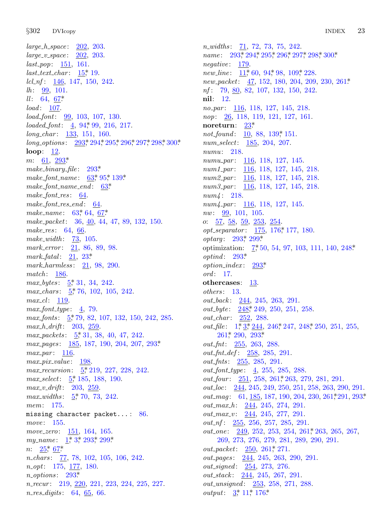*§*302 DVIcopy IN[DEX](#page-14-0) 23

*large h s[pac](#page-6-0)e* : 202, 203. *large v space* : 202, 203. *last pop*: 151, 161. *last text char* : [15\\*,](#page-7-0) 19. *lcl nf* : 146, 147, 150, 242.  $lh: \frac{99}{99}, 101.$ *ll* : 64, <u>67</u>\* *load* : 1[07.](#page-15-0) *load font*: 99, 103, [10](#page-15-0)7, 130. *loaded\_font*: 4, 94, 99, [2](#page-7-0)1[6,](#page-9-0) 217. *long char* : 133, 151, [160](#page-6-0). *long\_options*: 293\*, 294\*, 295\*, 296\*, 297\*, 298\*, 300\*. **loop**: 12. *m*: 61, 293\* *make binary fi[l](#page-6-0)e* : 293\*. *make font name* : 63\*, 95\*, 139\*. *make font name end* : 63\*. *make font res* : 64.  $make\_font\_res\_end$ [:](#page-5-0) 64. *make name* : 63\*, 64, 67\*. *make packet*: 36, 40, 44, 47, 89, 132, 150. *make res* : [64](#page-2-0), 66. *make width* : [7](#page-2-0)3, 105. *mark error* : 21, 86, 89, 98. *mark\_fatal* :  $21, 23$ <sup>\*</sup> *mark harmle[ss](#page-2-0)* : 21, 98, 290. *match* : 186. *max bytes* : 5\*, [3](#page-2-0)1, 34, 242. *max chars* : 5\*, 76, 102, 105, 242. *max cl* : 119.  $max\_font\_type: \underline{4}, 79.$ max<sub>-fonts</sub>:  $\underline{5}$ \* 7[9,](#page-2-0) 82, 107, 132, 150, 242, 285. *max h drift*: [2](#page-2-0)03, 259. *max packets* : 5\*, 31, 38, 40, 47, 242. *max pages* : [18](#page-2-0)5, 187, 190, 204, 207, 293\*. *max\_par* : 116. *max pix value* : 198. *max recursion*: 5\*, 219, 227, 228, 242. *max select*: 5\*, 185, 188, 190. *max v drift*: [20](#page-2-0)3, [25](#page-15-0)9[.](#page-17-0) *max\_[wi](#page-5-0)d[ths](#page-6-0)* : 5\*, 70, 73, 242. *mem*: 175. missing character packet...:  $86$ . *move* : 155. *move zero*: 151, 164, 165. *my\_name* : 1,\* 3,\* 293,\* 299.\* *n*:  $25$ <sup>\*</sup>, 67<sup>\*</sup> *n chars* : 77, 78, 102, 105, 106, 242. *n opt*: 175, 177, 180. *n options* : 293\*. *n recur* : 219, 220, 221, 223, 224, 225, 227. *n res digits* : 64, 65, 66.

*n\_widths* : 71, 72, 73, 75, 242. *name*: 293\*, 294\*, 295\*, 296\*, 297\*, 298\*, 300\*. *negative* : 179. *new\_line* : 11,\* 60, 94,\* 98, 109,\* 228. *new packet*: 47, 152, [18](#page-9-0)0, 204, 209, 230, 261\*. *nf* : 79, <u>80</u>, 82, 107, 132, 150, 242. **nil**: 12. *no par* : 116, 118, 127, 145, 218. *nop*: 26, 118, 119, 121, 127, 161. **noreturn**: 23\*. *not\_found*: 10, 88, 139, 151. *num select*: 185, 204, 207. *numu*: 218. *numu par* : 116, 118, 127, 145. *num1 par* : 116, 118, 127, 145, 218. *num2 par* : 116, 118, [12](#page-11-0)7, 145, 218. *num3 par* [:](#page-15-0) 1[16,](#page-17-0) 118, 127, 145, 218. *num4* : 218. *num4 par* [:](#page-15-0) 116, 118, 127, 145. *nw*: 99, 101, [105.](#page-15-0) *o*: 57, 58, 59, 253, 254. *opt separator* : 175, 176\*, 177, 180. *optarg* : 293\*, 299\*. optimization: 7, 50, 54, 97, 103, 111, 140, 248<sup>\*</sup> *optind* : 2[93\\*.](#page-13-0) *option index* : 293\*. *ord* : 17. **oth[erca](#page-14-0)ses**: [13.](#page-15-0) *others* : 13. *out back* : 244, 245, 263, 291. *out byte* : 248\*, 249, 250, 251, 258. *out char* : 252, 288. *out* file: 1,\* 3,\* 244, 246,\* 247, 248,\* 250, 251, 255, 261\*, 290, 293\*. *out fnt*: 255, 263, 288. *out fnt def* : 258, 285, 291. *out fnts* : 255, 285, 291. *out font type* : 4, 255, 285, 288. *out\_four* : 251, 258, 261, 263, [279](#page-14-0), 281, 291. *out loc*: 244, 245, 249, 250, 251, 258, 263, 290, 291. *out\_mag*: 61, 185, [187](#page-14-0), 190, 204, 230, 261, 291, 293\*. *out max h* : 244, 245, 274, 291. *out\_max\_v*: 244, 245, 277, 291. *out\_nf*: 255, 256, 257, 285, 291. *out\_one*: 249, 252, 253, 254, 261, 263, 265, 267, 269, [27](#page-2-0)[3,](#page-3-0) 2[76,](#page-11-0) 279, 281, 289, 290, 291. *out packet*: 250, 261\*, 271. *out pages* : 244, 245, 263, 290, 291. *out signed* : 254, 273, 276. *out stack* : 244, 245, 267, 291. *out unsigned* : 253, 258, 271, 288.

*output*:  $3 \div 11 \div 176$ \*.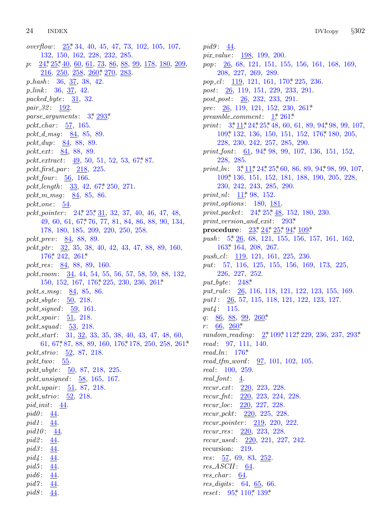pid8:  $44$ .

*overflow*:  $25$ <sup>\*</sup>, 34, 40, 45, 47, 73, 102, 105, 107, 132, 150, 162, 228, 232, 285. *p*: 24\*, 25\*, 40, 60, [61](#page-2-0), [73,](#page-15-0) 86, 88, 99, 178, 180, 209, 216, 250, 258, 260, 270, 283. *p hash* : 36, 37, 38, 42. *p link* : 36, 37, 42. *packed byte* : 31, 32. *pair 32* : 192. *parse arguments* : 3\*, 293\*. *pckt char* : 57, 165. *pckt d msg* : 84, 85, [89](#page-6-0). *pckt dup*: 84, 88, 89. *pckt ext*: 84, 88, 89. *pckt extract*: [49,](#page-5-0) [50,](#page-5-0) 51, 52, 53, 67\*, 87. *pckt first par* : [21](#page-6-0)8, 225. *pckt four* : 56, 166. *pckt length* : 33, 42, 67\*, 250, 271. *pckt m msg* : 84, 85, 86. *pckt [one](#page-11-0)* : 54. *pckt pointer* : 24\*, 25\*, 31, 32, 37, 40, 46, 47, 48, 49, 60, 61, 67\*, 76, 77, 81, 84, 86, 88, 90, 134, 178, 180, 185, [209](#page-11-0), 220, 250, 258. *pckt prev* : 84, 88, 89. *pckt ptr* : 32, 35, 38, 40, 42, 43, 47, 88, 89, 160, 176\*, 242, 261\*. *pckt res* : 84, 88, 89, 160. *pckt room*: 34, 44, 54, 55, 56, 57, 58, 59, 88, 132, 150, 152, 167, 176\*, 225, 230, 236, 261\*. *pckt s [msg](#page-6-0)* : 84, 85, 86. *pckt sbyte* : 50, 218. *pckt signed* : 59, 161. *pckt spair* : 51, 218. *pckt squad* : 53, 218. *pckt start*: 31, 32, 33, 35, 38, 40, 43, 47, 48, 60, 61, 67\*, 87, 88, 89, 160, 176\*, 178, 250, 258, 261\*. *pckt strio*: 52, 87, 218. *pckt two*: 55. *pckt ubyte* : 50, 87, 218, 225. *pckt unsigned* : 58, 165, 167. *pckt upair* : 51, 87, 218. *pckt utrio*: 52, 218. *pid init*: 44. *pid0* : 44. *pid1* : 44. *pid10* : 44. *pid2* : 44. pid3:  $44$ . *pid4* : 44. *pid5* :  $44$ . *pid6* :  $44$ . pid7: 44.

*pid9* : 44. *pix value* : 198, 199, 200. *pop*: 26, 68, 121, 15[1,](#page-1-0) [155,](#page-14-0) [156,](#page-14-0) 161, 168, 169, 208[,](#page-2-0) [227](#page-3-0), [269,](#page-5-0) 289. *pop\_[cl](#page-8-0)*: 119, 121, 161, 170\*, 225, [236.](#page-11-0) *post*: 26, 119, 151, 229, 233, 291. *post post*: 26, [232](#page-7-0), 233, 291. *pre*: 26, 119, 121, 152, 230, 261\*. *preamble c[om](#page-2-0)[me](#page-3-0)[nt](#page-5-0)*: [1\\*,](#page-5-0) 261\*. *print*[:](#page-8-0)  $3 \times 11 \times 24 \times 25 \times 48$ , 60, 61, 89, 94 \times 98, 99, 107, 109\*, 132, 136, 150, 151, 152, 176\*, 180, 205, 228, 2[30,](#page-3-0) 242, 257, 285, 290. *print\_font*: 61, 94, 98, 99, 107, 136, 151, 152, 228, 285. *print\_ln*:  $3, 11, 24, 25, 60, 86, 89, 94, 98, 99, 107,$  $3, 11, 24, 25, 60, 86, 89, 94, 98, 99, 107,$  $3, 11, 24, 25, 60, 86, 89, 94, 98, 99, 107,$ 109\*, 136, [15](#page-5-0)1, [1](#page-5-0)5[2,](#page-5-0) 1[81,](#page-7-0) [188,](#page-8-0) 190, 205, 228, 23[0,](#page-2-0) 242, 243, 285, 290. *print\_[nl](#page-10-0)*: <u>11</u>\* 98, 152. *print options* : 180, 181. *print packet*: 24\*, 25\*, 48, 152, 180, 230. *print version and exit*: 293\*. **procedure**[:](#page-13-0)  $23^*$ ,  $24^*$ ,  $25^*$ ,  $94^*$ ,  $109^*$ . *push*:  $5$ <sup>\*</sup>,  $\frac{26}{6}$ ,  $68$ ,  $121$ ,  $155$ ,  $156$ ,  $157$ ,  $161$ ,  $162$ , 163\*, 164, 208, 267. *push cl* : 119, 121, 161, 225, 236. *put*: 57, 116, [125,](#page-14-0) 155, 156, 169, 173, 225, 226, [22](#page-14-0)7, 252. *put byte* : 248\*. *put rule* : 26, 116, 118, 121, 122, 123, 155, 169. *put1* : 26, [57](#page-11-0), 115, 118, 121, 122, 123, 127. *put4* : 115. *q*: <u>86</u>, <u>88</u>, <u>99</u>, <u>260</u>\* *r*: 66, 260\* *random reading* : 2\*, 109\*, 112\*, 229, 236, 237, 293\*. *read* : 97, 111, 140. *read ln*: 176\*. *read tfm word* : 97, 101, 102, 105. *real* : 100, 259. *real font*: 4. *recur ext*: 220, 223, 228. *recur fnt*: 220, 223, 224, 228. *recur loc*: 220, 227, 228. *recur pckt*: 220, 225, 228. *recur pointer* : 219, 220, 222. *recur res* : 220, 223, 228. *recur u[sed](#page-7-0)* : [22](#page-8-0)0, [22](#page-9-0)1, 227, 242. recursion: 219. *res* : 57, 69, 83, 252. *res ASCII* : 64. *res\_char* : 64. *res digits* : 64, 65, 66. *reset*: 95,\* 110,\* 139\*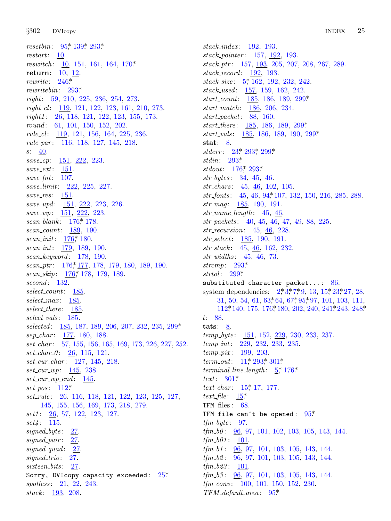*§*302 D[VIco](#page-13-0)py INDEX 25

*resetbin*: 95,\* 139,\* 293.\* *restart*: <u>10</u>. *reswitch* : 10, 151, 161, 164, 170\*. **return**: 10, 12. *rewrite* : 246\*. *rewritebin*: 293\*. *right*: 59, 210, 225, 236, 254, 273. *right cl* : 119, 121, 122, 123, 161, 210, 273. *right1* : 26, 118, 121, 122, 123, 155, 173. *round* : 61, 101, 150, 152, 202. *rule cl* : 119, 121, 156, 164, 225, 236. *rule par* : 116, 118, 127, 145, 218. *s*: 40. *save cp*: 151, 222, 223. *save ext*: 15[1.](#page-11-0) *save fnt*: 107. *save limit*: [222](#page-11-0), 225, 227. *save res* : 151. *save upd* : 151, 222, 223, 226. *save wp*: [151,](#page-11-0) 222, 223. *scan blank* : [17](#page-11-0)6\*, 178. *scan count*: 189, 190. *scan\_init*:  $176$ <sup>\*</sup>, 180. *scan int*: 179, 189, 190. *scan keyword* : 178, 190. *scan ptr* : 176\*, 177, 178, 179, 180, 189, 190. *scan skip*: 176\*, 178, 179, 189. *second* : 132. *select count*: 185. *select max* : 185. *select there* : 185. *select vals* : 185. *selected* : 185, 187, 189, 206, 207, 232, 235, 299\*. *sep char* : [17](#page-8-0)7, 180, 188. *set char* : 57, 155, 156, 165, 169, 173, 226, 227, 252. *set char 0* : 26, 115, 121. *set cur char* : 127, 145, 218. *set cur wp*: 145, 238. *set cur wp end* : 145. *set pos* : 112\*. *set rule* : 26, 116, 118, 121, 122, 123, 125, 127, 145, 155, 156, 169, 173, 218, 279. *set1* : 26, 57, 122, 123, 127. *set4* : 115. *signed byte* : 27. *signed pair* : 27. *signed\_quad* : 27. *signed trio*: 27. *sixteen bits* : 27. Sorry, DVIcopy capacity exceeded:  $25^*$ *spotless* : 21, 22, 243. *stack* : 193, 208.

*stack index* : 192, 193. *stack pointer* : 157, 192, 19[3.](#page-17-0) *stack ptr* : 157, 193, 205, 207, 208, 267, 289. *stack record* : 192, 193. *stack size* : 5\*, 162, 192, 232, 2[42.](#page-17-0) *stack used* : 157, 159, 162, 242. *start cou[nt](#page-5-0)*: [185](#page-15-0), [186](#page-17-0), 189, 299\*. *start m[atch](#page-15-0)* : 186, 206, 234. *start pac[ket](#page-11-0)*: [88,](#page-15-0) 160. *start there* : 185, 186, 189, 299\*. *start vals* : 185, 186, 189, 190, 299\*. **stat**: 8. *stderr* : 23\*, 293\*, [29](#page-7-0)9\*. *stdin*: 293\*. *stdout*: 176\*, 293\*. *str bytes* : 34, 45, 46. *str chars* : 45, 46, 102, 105. *str fonts* : 45, 46, 94\*, 107, 132, 150, 216, 285, 288. *str mag* : 185, 190, 191. *str name [leng](#page-15-0)th* : 45, 46. *str pack[ets](#page-17-0)* : 40, 45, 46, 47, 49, 88, 225. *str recursion*: 45, 46, 228. *str select*: 185, 190, 1[91](#page-1-0)[.](#page-2-0) *str stack* : 45, 46, [16](#page-6-0)2, 2[32.](#page-6-0) *str [width](#page-8-0)s* : 45, 46, [73](#page-11-0). *strcmp*: 293\*. *strtol* : 299\*. substituted character packet...: 86. system dependencies:  $2^*3^*7^*9$ , 13, 15, 23, 27, 28, 31, 50, 54, 61, 63\*64, 67\*95\*97, 101, 103, 111, 112\*, 14[0,](#page-3-0) 1[75,](#page-15-0) 17[6\\*,](#page-17-0) 180, 202, 240, 241\*, 243, 248\*. *t*: 88. tats: <u>8</u>. *temp byte* : [15](#page-4-0)1, 152, 229, 230, 233, 237. *temp int*: [22](#page-4-0)9, 232, 233, 235. *temp pix* : 199, 203. *term\_out*: 11,\* 293,\* 301\*. *terminal line length* : 5\*, 176\*. *text*: 301\*. *text char* : 15\*, 17, 177. *text file* : 15\*. TFM files: 68. TFM file can't be opened:  $95*$ *tfm byte* : 97. *tfm b0* : 96, 97, 101, 102, 103, 105, 143, 144.  $tfm_b01: 101.$ *tfm b1* : 96, 97, 101, 103, 105, 143, 144. *tfm b2* : 96, 97, 101, 103, 105, 143, 144. *tfm b23* : 101. *tfm b3* : 96, 97, 101, 103, 105, 143, 144. *tfm conv* : 100, 101, 150, 152, 230.

*TFM default area* : 95\*.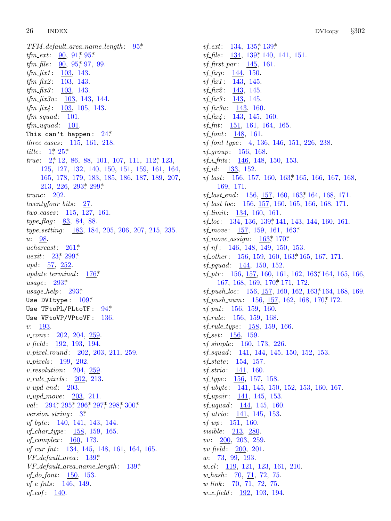26 **INDEX** 

 $TFM\_default\_area\_name\_length: 95*$ *tfm\_ext*:  $90, 91, 95$ \* *tfm\_file*:  $90, 95, 97, 99$ .  $tfm_{\text{-}}fix1: 103, 143.$ *tfm\_fix2*:  $\frac{103}{103}$ , 143. *tfm\_fix3*:  $\frac{103}{103}$ , 143.  $tfm\_fix3u: 103, 143, 144.$ *tfm\_fix4*:  $\frac{103}{103}$ , 105, 143.  $tfm\_squad: 101$ .  $tfm\_uquad: 101.$ This can't happen:  $24$ <sup>\*</sup> *three\_cases:*  $115, 161, 218.$ *title*:  $1^*$  25\* *true*:  $2, 12, 86, 88, 101, 107, 111, 112, 123,$ 125, 127, 132, 140, 150, 151, 159, 161, 164, 165, 178, 179, 183, 185, 186, 187, 189, 207,  $213, 226, 293, 299$  $trunc: 202.$  $twenty four\_bits:$  27. *two\_cases*:  $115$ , 127, 161. *type\_flag*: 83, 84, 88. type\_setting: 183, 184, 205, 206, 207, 215, 235. u: 98. ucharcast:  $261*$ *uexit:* 23,\* 299.\* *upd*:  $\frac{57}{252}$ .  $update\_terminal:$  $176*$  $usage: 293*$  $usage\_help: 293*$ Use DVItype:  $109*$ Use TFtoPL/PLtoTF: 94\* Use VFtoVP/VPtoVF: 136.  $v: \frac{193}{2}$  $v\_conv: 202, 204, 259.$ *v\_pixel\_round:* 202, 203, 211, 259.  $v_{\text{-}pixels:}$  199, 202.  $v_{r}$ resolution: 204, 259.  $v$ -rule-pixels: 202, 213.  $v\_upd\_end$ : 203.  $v\_upd\_move: 203, 211.$ val: 294, 295, 296, 297, 298, 300\* *version\_string*:  $3^*$ *vf\_byte*:  $\frac{140}{141}$ , 143, 144. *vf\_char\_type:*  $158, 159, 165$ .  $vf_{\text{-}}complex: 160, 173.$ vf\_cur\_fnt: 134, 145, 148, 161, 164, 165.  $VF\_default\_area: 139*$  $VF\_default\_area\_name\_length: 139*$ *vf\_do\_font*:  $\frac{150}{153}$ . *vf*<sub>-e</sub>- $f$ nts: 146, 149.  $vf\_eof: 140.$ 

*vf\_ext*:  $134, 135$ <sup>\*</sup>,  $139$ <sup>\*</sup> *vf*\_file:  $\frac{134}{139}$ , 139, 140, 141, 151. *vf*\_first\_par:  $145$ , 161.  $vf_{\text{-}}fixp: 144, 150.$ *vf*\_f*ix1*:  $\frac{143}{145}$ , 145. *vf*\_ $\int$ *fix2*: <u>143</u>, 145. *vf*\_ $\int$ *fix3*: <u>143</u>, 145. *vf\_fix3u*:  $143$ , 160. *vf\_fix4*:  $143$ , 145, 160. *vf*<sub>-fnt</sub>:  $\frac{151}{161}$ , 161, 164, 165.  $vf_$ font: 148, 161.  $vf_0f_1type: \underline{4}, 136, 146, 151, 226, 238.$ *vf\_group*:  $156, 168$ . *vf<sub>-</sub>i<sub>-fnts</sub>*:  $\frac{146}{148}$ , 148, 150, 153. *vf\_id:*  $133, 152$ . *vf.last*: 156, 157, 160, 163, 165, 166, 167, 168, 169, 171. *vf.last\_end:* 156, 157, 160, 163,\* 164, 168, 171. *vf<sub>-</sub>last\_loc*: 156, 157, 160, 165, 166, 168, 171. *vf<sub>-</sub>limit*:  $134, 160, 161$ . vf<sub>-loc</sub>: 134, 136, 139, 141, 143, 144, 160, 161. *vf\_move*:  $157, 159, 161, 163*$ *vf\_move\_assign:*  $\frac{163}{170*}$  $vf\_nf$ :  $\frac{146}{0}$ , 148, 149, 150, 153. *vf*\_other:  $156, 159, 160, 163$ , 165, 167, 171. *vf\_pquad:*  $144, 150, 152.$ *vf\_ptr*:  $156, 157, 160, 161, 162, 163, 164, 165, 166,$ 167, 168, 169, 170, 171, 172. *vf\_push\_loc*: 156,  $\frac{157}{150}$ , 160, 162, 163, 164, 168, 169. *vf\_push\_num*:  $156, 157, 162, 168, 170$ <sup>\*</sup>, 172.  $vf_{\mathit{-}put}$ : 156, 159, 160. *vf\_rule*:  $156, 159, 168$ . *vf\_rule\_type*:  $158, 159, 166$ . *vf\_set*:  $156, 159$ . *vf\_simple*:  $160, 173, 226$ . *vf\_squad:* 141, 144, 145, 150, 152, 153. *vf\_state*:  $154, 157$ . *vf<sub>-strio</sub>*:  $141, 160$ .  $vf_{\text{-}}type: 156, 157, 158.$ *vf\_ubyte*:  $\frac{141}{145}$ , 145, 150, 152, 153, 160, 167. *vf\_upair*:  $141, 145, 153$ . *vf\_uquad:*  $144, 145, 160.$ *vf\_utrio*:  $141, 145, 153$ . *vf\_wp*:  $151, 160$ . *visible*: 213, 280.  $vv: 200, 203, 259.$  $vv\_field: \quad 200, \; 201.$  $w: \quad 73, \quad 99, \quad 193.$  $w_{\text{-}}cl: \quad \underline{119}$ , 121, 123, 161, 210.  $w\_{hash:}$  70,  $\overline{71}$ , 72, 75. *w*\_link:  $70, 71, 72, 75$ .  $w_x$ -field: 192, 193, 194.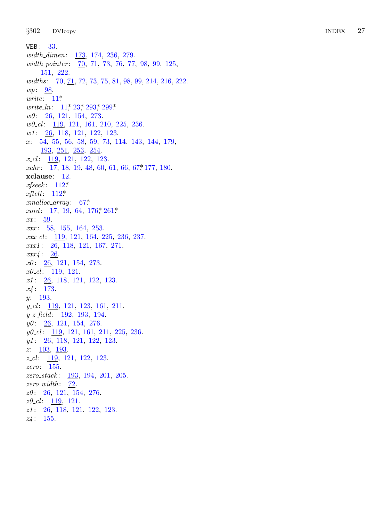$§302$ **DVIcopy** 

WEB:  $33$ .  $width\_dimen:$   $173, 174, 236, 279.$ width\_pointer: 70, 71, 73, 76, 77, 98, 99, 125, 151, 222. widths: 70, 71, 72, 73, 75, 81, 98, 99, 214, 216, 222.  $wp: 98$ . *urite*:  $11^*$ *write\_ln:*  $11^*$ ,  $23^*$ ,  $293^*$ ,  $299^*$ .  $w0: \quad \underline{26}, \ 121, \ 154, \ 273.$  $w0$ <sub>-c</sub>l:  $\frac{119}{121}$ , 121, 161, 210, 225, 236.  $w1: 26, 118, 121, 122, 123.$  $x: 54, 55, 56, 58, 59, 73, 114, 143, 144, 179,$ 193, 251, 253, 254.  $x_{-}cl$ : 119, 121, 122, 123. xchr:  $17, 18, 19, 48, 60, 61, 66, 67, 177, 180.$ xclause: 12.  $x \text{fseek}: 112^*$ xftell:  $112^*$  $cmalloc\_array: 67*$ *xord*:  $17, 19, 64, 176$ <sup>\*</sup>,  $261$ <sup>\*</sup>  $xx: 59.$  $xxx: 58, 155, 164, 253.$  $xxx_{c}$   $l$ : 119, 121, 164, 225, 236, 237.  $xxx1: \underline{26}$ , 118, 121, 167, 271.  $xxx4: 26.$  $x0: \underline{26}, 121, 154, 273.$  $x0$ <sub>-cl</sub>:  $\frac{119}{121}$ .  $x1: \underline{26}$ , 118, 121, 122, 123.  $x_4$ : 173.  $y: \quad 193.$  $y_{-}cl$ : 119, 121, 123, 161, 211.  $y_z = field: 192, 193, 194.$  $y0: \quad 26, \quad 121, \quad 154, \quad 276.$  $y0$ <sub>-c</sub>l: 119, 121, 161, 211, 225, 236.  $y1: \underline{26}$ , 118, 121, 122, 123.  $z: \quad \underline{103}, \ \underline{193}.$  $z_{\text{}}cl$ : 119, 121, 122, 123.  $zero: 155.$ zero\_stack: 193, 194, 201, 205.  $zero_width:$   $\frac{72}{2}$ .  $z0: \quad \underline{26}, \quad 121, \quad 154, \quad 276.$  $z0$ <sub>-C</sub>l:  $\frac{119}{121}$ .  $z1: \underline{26}$ , 118, 121, 122, 123.

 $z4:155.$ 

27 **INDEX**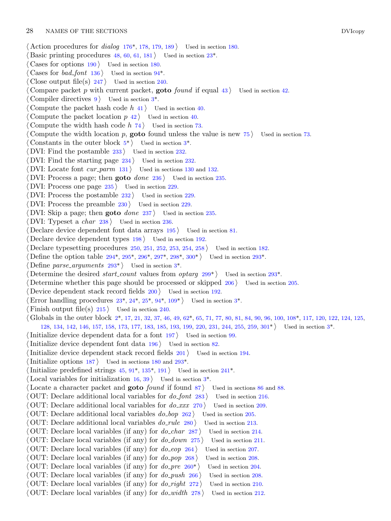- *⟨* Action procedures for *dialog* 176\*, 178, [1](#page-2-0)79, 189 *⟩* Used in section 180.
- Basic printing procedures  $48, 60, 61, 181$  Used in section  $23^*$ .
- *⟨* Cases for options 190 *⟩* Used in section 180.
- *⟨* Cases for *bad font* 136 *⟩* Used in section 94\*.
- Close output file(s)  $247$  Used in section 240.
- Compare packet *p* with curre[nt](#page-2-0) packet, **goto** *fo[un](#page-2-0)d* if equal  $43$  *\* Used in section  $42$ .
- Compiler directives  $9$  Used in section  $3^*$ .
- *⟨* Compute the packet hash code *h* 41 *⟩* Used in section 40.
- Compute the packet location  $p$  42  $\rangle$  Used in section 40.
- *⟨* Compute the width hash code *h* 74 *⟩* Used in section 73.
- *⟨* Compute the width location *p*, **goto** found unless the value is new 75 *⟩* Used in section 73.
- Constants in the outer block  $5^*$  Used in section  $3^*$ .
- *⟨* DVI: Find the postamble 233 *⟩* Used in section 232.
- *DVI*: Find the starting page 234 *a* Used in section 232.
- *<u>DVI:</u>* Locate font *cur\_parm*  $131$  *\* Used in sections 130 and 132.
- *⟨* DVI: Process a page; then **goto** *done* 236 *⟩* Used in section 235.
- *⟨* DVI: Process one page 235 *⟩* Used in section 229.
- *⟨* DVI: Process the postamble 232 *⟩* Used in section 229.
- DVI: Process the prea[mble](#page-16-0)  $230$  $230$  *V* [Use](#page-16-0)d [in s](#page-16-0)ec[tion](#page-16-0) 2[29.](#page-17-0)
- *⟨* DVI: Skip a page; then **[got](#page-15-0)o** *done* 237 *⟩* Use[d](#page-2-0) in section 235.
- *⟨* DVI: Typeset a *char* 238 *⟩* Used in section 236.
- *<u>Declare device dependent font data arrays 195 <i>Wirel used in section 81.*</u>
- *<u>Declare device dependent types 198</u> Used in section 192.*
- *⟨* Declare typesetting proced[ure](#page-5-0)s [25](#page-5-0)0, [25](#page-5-0)1, [25](#page-7-0)2, [253](#page-8-0), 254, 258 *⟩* Used i[n](#page-2-0) section 182.
- *Define the option table 294\*, 295\*, 296\*, 297\*, 298\*, 300\* <i>← Used in section 293\*.*
- *Define parse\_arguments*  $293^*$  Used in section 3<sup>\*</sup>.
- *Determine the desired <i>start\_count* values from *optarg* 299\*) Used in secti[on](#page-17-0) 293\*.
- *⟨* Determine whether this page should be processed or skipped 206 *⟩* Used in section 205.
- *<u>Device dependent stack record fields 200</u> <i><i>V* Used in section 192.
- Error handling procedures  $23^*$ ,  $24^*$ ,  $25^*$ ,  $94^*$ ,  $109^*$  Used in section  $3^*$ .
- Finish output file(s)  $215$  Used in section 240.
- *⟨* Globals in the outer block 2\*, 1[7,](#page-7-0) 21, [32,](#page-9-0) 37, 46, 49, 62\*, 65, 71, 77, [80](#page-12-0), 81, 84, 90, 96, 100, 108\*, 117, 120, 122, 124, 125, 128, 134, 142, 146, 157, 158, 173, 177, 183, 185, 193, 199, 22[0,](#page-2-0) 231, 244, 255, 259, 301\* *⟩* Used in section 3\*.
- *⟨*Initialize device dependent data for a font 197 *⟩* Used in section 99.
- 
- *<u>Initialize</u>* device dependent font data  $196$  */* Used in section 82.
- *<u>Initialize device dependent stack record fields 201 <i>\* Used in section 194.</u>
- Initialize options  $187$  *V* Used in sections  $180$  and  $293^*$ .
- Initialize predefined strings  $45, 91^*$ ,  $135^*$ ,  $191$  *\* Used in section  $241^*$ .
- Local variables for initialization  $16, 39$  Used in section  $3^*$ .
- Locate a character packet and **goto** *found* if found 87 *a* Used in sections 86 and 88.
- *⟨* OUT: Declare additional local variables for *do font* 283 *⟩* Used in section 216.
- *⟨* OUT: Declare additional local variables for *do xxx* 270 *⟩* Used in section 209.
- *⟨* OUT: Declare additional local variables *do bop* [262](#page-14-0) *⟩* Used in section 205.
- *⟨* OUT: Declare additional local variables *do rule* 280 *⟩* Used in section 213.
- *⟨* OUT: Declare local variables (if any) for *do char* 287 *⟩* Used in section 214.
- *⟨* OUT: Declare local variables (if any) for *do down* 275 *⟩* Used in section 211.
- *⟨* OUT: Declare local variables (if any) for *do eop* 264 *⟩* Used in section 207.
- *⟨* OUT: Declare local variables (if any) for *do pop* 268 *⟩* Used in section 208.
- *⟨* OUT: Declare local variables (if any) for *do pre* 260\* *⟩* Used in section 204.
- *⟨* OUT: Declare local variables (if any) for *do push* 266 *⟩* Used in section 208.
- *⟨* OUT: Declare local variables (if any) for *do right* 272 *⟩* Used in section 210.
- *⟨* OUT: Declare local variables (if any) for *do width* 278 *⟩* Used in section 212.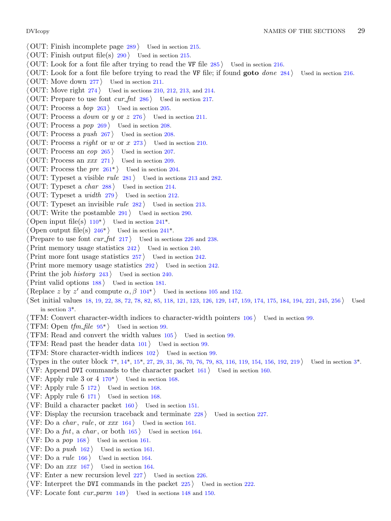- *⟨* OUT: Finish incomplete page 289 *⟩* Used in section 215.
- *⟨* OUT: Finish output file(s) 290 *⟩* Used in section 215.
- *⟨* OUT: Look for a font file after trying to read the VF file 285 *⟩* Used in section 216.
- *⟨* OUT: Look for a font file before trying to read the VF file; if found **goto** *done* 284 *⟩* Used in section 216.
- *⟨* OUT: Move down 277 *⟩* Used in section 211.
- *OUT:* Move right  $274$  *Vsed in sections 210, 212, 213, and 214.*
- *⟨* OUT: Prepare to use font *cur fnt* 286 *⟩* Used in section 217.
- *⟨* OUT: Process a *bop* 263 *⟩* Used in section 205.
- *⟨* OUT: Process a *down* [or](#page-14-0) *y* or *z* 276 *⟩* Used in section 211.
- *⟨* OUT: Process a *pop* 269 *⟩* Used in section 208.
- *⟨* OUT: Process a *push* 267 *⟩* Used in section 208.
- *⟨* OUT: Process a *right* or *w* or *x* 273 *⟩* Used in section 210.
- *⟨* OUT: Process an *eop* 265 *⟩* Used in section 207.
- *⟨* OUT: Process an *xxx* 271 *⟩* Used in section 209.
- *⟨* OUT: Process the *[pre](#page-8-0)* 261\* *⟩* Used in se[ction](#page-12-0) 204.
- *⟨* OUT: Typeset a vis[ible](#page-13-0) *rule* 281 *⟩* Used i[n se](#page-12-0)ctions 213 and 282.
- *⟨* OUT: Typeset a *char* 288 *⟩* Used in section 214.
- *⟨* OUT: Typeset a *width* 279 *⟩* Used in section 212.
- *⟨* OUT: Typeset an invisible *rule* 282 *⟩* Used in section 213.
- *⟨* OUT: Write the postamble 291 *⟩* Used in section 290.
- Open input file(s)  $110^*$  Used in section  $241^*$ .
- Open output file(s)  $246^*$  Used in section  $241^*$ .
- *Prepare to use font <i>cur\_fnt* 217 *a* [Used](#page-7-0) in sections 226 and 238.
- *Print memory usage statistics*  $242$  */ Used in section 240.*
- *Print* more [fo](#page-2-0)nt usage statistics  $257$  *Vsed in section 242.*
- *Print more memory usage statistics*  $292$  *<i>Vsed in section 242.*
- *Print the job history* [24](#page-7-0)3 *a* Used in section 240.
- *⟨*Print valid options 188 *⟩* Used in section 181.
- $\langle \text{Replace } z \text{ by } z' \text{ and compute } \alpha, \beta \text{ 104*} \rangle$  Used in sections 105 and 152.
- *⟨* Set initial values 18, 19, 22, 38, 72, 78, 82, 85, 118, 121, 123, 126, 129, 147, 159, 174, 175, 184, 194, 221, 245, 256 *⟩* Used in section 3\*.
- *⟨* TFM: Convert character-width indices to character-width pointers 106 *⟩* Used in section 99.
- **TFM:** Open  $tfm$ <sup>*file*</sup> 95<sup>\*</sup>  $\}$  Used in section 99.
- *⟨* TFM: Read and convert the width values 105 *⟩* Used in section 99.
- *⟨* TFM: Read past the header data 101 *⟩* Used in section 99.
- *⟨* TFM: Store character-width indices 102 *⟩* Used in section 99.
- *⟨* Types in the outer block 7\*, 14\*, 15\*, 27, 29, 31, 36, 70, 76, 79, 83, 116, 119, 154, 156, 192, 219 *⟩* Used in section 3\*.
- *⟨* VF: Append DVI commands to the character packet 161 *⟩* Used in section 160.
- *⟨* VF: Apply rule 3 or 4 170\* *⟩* Used in section 168.
- *⟨* VF: Apply rule 5 172 *⟩* Used in section 168.
- *⟨* VF: Apply rule 6 171 *⟩* Used in section 168.
- *⟨* VF: Build a character packet 160 *⟩* Used in section 151.
- *⟨* VF: Display the recursion traceback and terminate 228 *⟩* Used in section 227.
- *⟨* VF: Do a *char* , *rule* , or *xxx* 164 *⟩* Used in section 161.
- *⟨* VF: Do a *fnt*, a *char* , or both 165 *⟩* Used in section 164.
- *⟨* VF: Do a *pop* 168 *⟩* Used in section 161.
- *⟨* VF: Do a *push* 162 *⟩* Used in section 161.
- *⟨* VF: Do a *rule* 166 *⟩* Used in section 164.
- *⟨* VF: Do an *xxx* 167 *⟩* Used in section 164.
- *⟨* VF: Enter a new recursion level 227 *⟩* Used in section 226.
- *⟨* VF: Interpret the DVI commands in the packet 225 *⟩* Used in section 222.
- *⟨* VF: Locate font *cur parm* 149 *⟩* Used in sections 148 and 150.